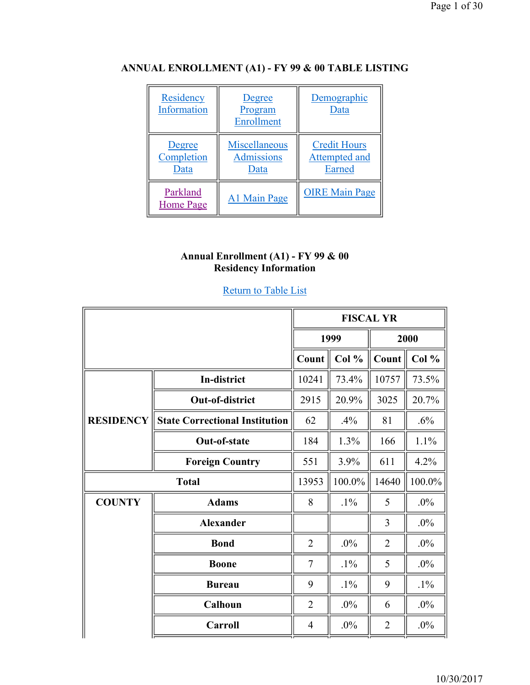| Residency<br>Information | Degree<br>Program<br><b>Enrollment</b> | Demographic<br>Data |
|--------------------------|----------------------------------------|---------------------|
| Degree                   | Miscellaneous                          | <b>Credit Hours</b> |
| Completion               | <b>Admissions</b>                      | Attempted and       |
| Data                     | Data                                   | Earned              |

Parkland<br>Home Page

## **ANNUAL ENROLLMENT (A1) - FY 99 & 00 TABLE LISTING**

#### **Annual Enrollment (A1) - FY 99 & 00 Residency Information**

A1 Main Page | OIRE Main Page

#### Return to Table List

|                  | <b>FISCAL YR</b>                      |                |        |                |        |
|------------------|---------------------------------------|----------------|--------|----------------|--------|
|                  |                                       | 1999           |        | 2000           |        |
|                  |                                       | Count          | Col %  | Count          | Col %  |
|                  | In-district                           | 10241          | 73.4%  | 10757          | 73.5%  |
|                  | <b>Out-of-district</b>                | 2915           | 20.9%  | 3025           | 20.7%  |
| <b>RESIDENCY</b> | <b>State Correctional Institution</b> | 62             | .4%    | 81             | .6%    |
|                  | <b>Out-of-state</b>                   | 184            | 1.3%   | 166            | 1.1%   |
|                  | <b>Foreign Country</b>                | 551            | 3.9%   | 611            | 4.2%   |
|                  | <b>Total</b>                          | 13953          | 100.0% | 14640          | 100.0% |
| <b>COUNTY</b>    | <b>Adams</b>                          | 8              | $.1\%$ | 5              | $.0\%$ |
|                  | <b>Alexander</b>                      |                |        | 3              | $.0\%$ |
|                  | <b>Bond</b>                           | $\overline{2}$ | .0%    | $\overline{2}$ | $.0\%$ |
|                  | <b>Boone</b>                          | $\tau$         | $.1\%$ | 5              | $.0\%$ |
|                  | <b>Bureau</b>                         | 9              | $.1\%$ | 9              | $.1\%$ |
|                  | Calhoun                               | $\overline{2}$ | .0%    | 6              | $.0\%$ |
|                  | <b>Carroll</b>                        | $\overline{4}$ | $.0\%$ | 2              | $.0\%$ |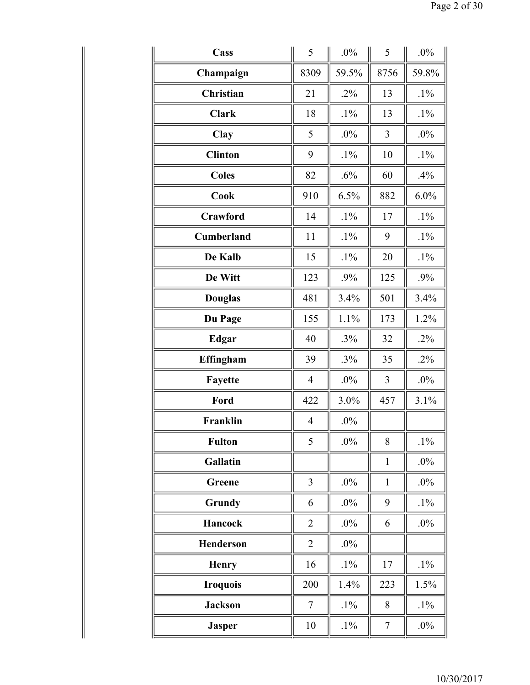| Cass              | 5              | .0%    | 5                | $.0\%$ |
|-------------------|----------------|--------|------------------|--------|
| Champaign         | 8309           | 59.5%  | 8756             | 59.8%  |
| Christian         | 21             | $.2\%$ | 13               | $.1\%$ |
| <b>Clark</b>      | 18             | $.1\%$ | 13               | $.1\%$ |
| Clay              | 5              | $.0\%$ | 3                | $.0\%$ |
| <b>Clinton</b>    | 9              | $.1\%$ | 10               | $.1\%$ |
| <b>Coles</b>      | 82             | .6%    | 60               | .4%    |
| Cook              | 910            | 6.5%   | 882              | 6.0%   |
| Crawford          | 14             | $.1\%$ | 17               | $.1\%$ |
| <b>Cumberland</b> | 11             | $.1\%$ | 9                | $.1\%$ |
| De Kalb           | 15             | $.1\%$ | 20               | $.1\%$ |
| De Witt           | 123            | .9%    | 125              | .9%    |
| <b>Douglas</b>    | 481            | 3.4%   | 501              | 3.4%   |
| Du Page           | 155            | 1.1%   | 173              | 1.2%   |
| <b>Edgar</b>      | 40             | .3%    | 32               | $.2\%$ |
| Effingham         | 39             | .3%    | 35               | $.2\%$ |
| Fayette           | 4              | .0%    | 3                | $.0\%$ |
| Ford              | 422            | 3.0%   | 457              | 3.1%   |
| Franklin          | $\overline{4}$ | $.0\%$ |                  |        |
| <b>Fulton</b>     | 5              | $.0\%$ | 8                | $.1\%$ |
| Gallatin          |                |        | $\mathbf{1}$     | $.0\%$ |
| Greene            | $\overline{3}$ | $.0\%$ | $\mathbf{1}$     | $.0\%$ |
| Grundy            | 6              | $.0\%$ | 9                | $.1\%$ |
| Hancock           | $\overline{2}$ | $.0\%$ | 6                | $.0\%$ |
| Henderson         | $\overline{2}$ | $.0\%$ |                  |        |
| <b>Henry</b>      | 16             | $.1\%$ | 17               | $.1\%$ |
| <b>Iroquois</b>   | 200            | 1.4%   | 223              | 1.5%   |
| <b>Jackson</b>    | $\tau$         | $.1\%$ | 8                | $.1\%$ |
| <b>Jasper</b>     | 10             | $.1\%$ | $\boldsymbol{7}$ | $.0\%$ |
|                   |                |        |                  |        |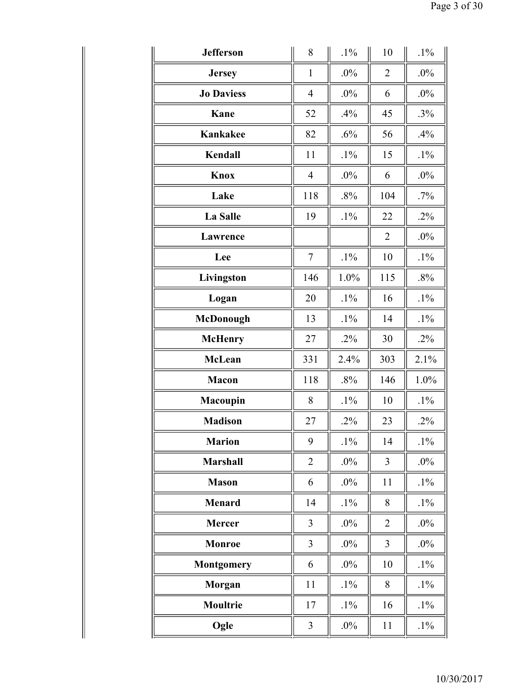| <b>Jefferson</b>  | 8              | $.1\%$ | 10             | $.1\%$ |
|-------------------|----------------|--------|----------------|--------|
| <b>Jersey</b>     | $\mathbf{1}$   | $.0\%$ | $\overline{2}$ | $.0\%$ |
| <b>Jo Daviess</b> | $\overline{4}$ | $.0\%$ | 6              | $.0\%$ |
| Kane              | 52             | .4%    | 45             | .3%    |
| <b>Kankakee</b>   | 82             | .6%    | 56             | .4%    |
| Kendall           | 11             | $.1\%$ | 15             | $.1\%$ |
| <b>Knox</b>       | $\overline{4}$ | $.0\%$ | 6              | $.0\%$ |
| Lake              | 118            | .8%    | 104            | $.7\%$ |
| <b>La Salle</b>   | 19             | $.1\%$ | 22             | $.2\%$ |
| Lawrence          |                |        | $\overline{2}$ | $.0\%$ |
| Lee               | $\overline{7}$ | $.1\%$ | 10             | $.1\%$ |
| Livingston        | 146            | 1.0%   | 115            | .8%    |
| Logan             | 20             | $.1\%$ | 16             | $.1\%$ |
| McDonough         | 13             | $.1\%$ | 14             | $.1\%$ |
| <b>McHenry</b>    | 27             | $.2\%$ | 30             | $.2\%$ |
| <b>McLean</b>     | 331            | 2.4%   | 303            | 2.1%   |
| Macon             | 118            | .8%    | 146            | 1.0%   |
| Macoupin          | 8              | $.1\%$ | 10             | $.1\%$ |
| <b>Madison</b>    | 27             | $.2\%$ | 23             | $.2\%$ |
| <b>Marion</b>     | 9              | $.1\%$ | 14             | $.1\%$ |
| <b>Marshall</b>   | $\overline{2}$ | $.0\%$ | 3              | $.0\%$ |
| <b>Mason</b>      | 6              | $.0\%$ | 11             | $.1\%$ |
| <b>Menard</b>     | 14             | $.1\%$ | 8              | $.1\%$ |
| <b>Mercer</b>     | 3              | $.0\%$ | $\overline{2}$ | $.0\%$ |
| <b>Monroe</b>     | 3              | $.0\%$ | 3              | $.0\%$ |
| <b>Montgomery</b> | 6              | $.0\%$ | 10             | $.1\%$ |
| Morgan            | 11             | $.1\%$ | 8              | $.1\%$ |
| Moultrie          | 17             | $.1\%$ | 16             | $.1\%$ |
| Ogle              | $\mathfrak{Z}$ | $.0\%$ | 11             | $.1\%$ |
|                   |                |        |                |        |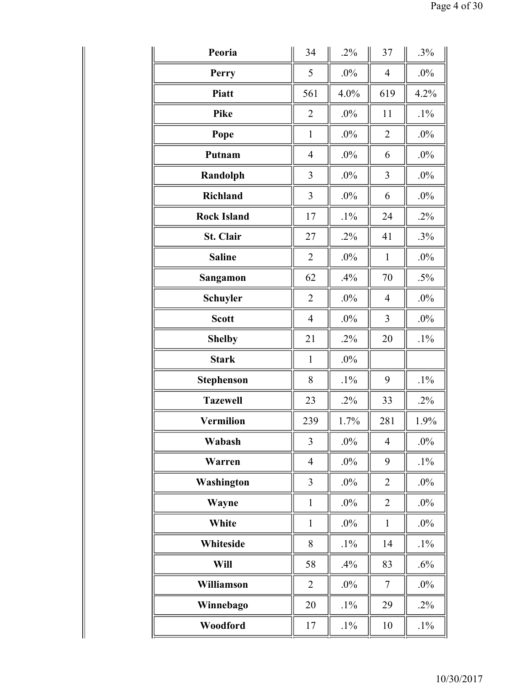| Peoria             | 34             | $.2\%$ | 37             | $.3\%$ |
|--------------------|----------------|--------|----------------|--------|
| Perry              | 5              | $.0\%$ | $\overline{4}$ | $.0\%$ |
| <b>Piatt</b>       | 561            | 4.0%   | 619            | 4.2%   |
| <b>Pike</b>        | $\overline{2}$ | $.0\%$ | 11             | $.1\%$ |
| Pope               | $\mathbf{1}$   | $.0\%$ | $\overline{2}$ | $.0\%$ |
| Putnam             | $\overline{4}$ | $.0\%$ | 6              | $.0\%$ |
| Randolph           | 3              | $.0\%$ | 3              | $.0\%$ |
| <b>Richland</b>    | 3              | $.0\%$ | 6              | $.0\%$ |
| <b>Rock Island</b> | 17             | $.1\%$ | 24             | $.2\%$ |
| St. Clair          | 27             | $.2\%$ | 41             | $.3\%$ |
| <b>Saline</b>      | $\overline{2}$ | $.0\%$ | $\mathbf{1}$   | $.0\%$ |
| Sangamon           | 62             | .4%    | 70             | $.5\%$ |
| <b>Schuyler</b>    | $\overline{2}$ | $.0\%$ | 4              | .0%    |
| <b>Scott</b>       | $\overline{4}$ | $.0\%$ | 3              | $.0\%$ |
| <b>Shelby</b>      | 21             | $.2\%$ | 20             | $.1\%$ |
| <b>Stark</b>       | $\mathbf{1}$   | $.0\%$ |                |        |
| <b>Stephenson</b>  | 8              | $.1\%$ | 9              | $.1\%$ |
| <b>Tazewell</b>    | 23             | $.2\%$ | 33             | $.2\%$ |
| <b>Vermilion</b>   | 239            | 1.7%   | 281            | 1.9%   |
| Wabash             | 3              | $.0\%$ | $\overline{4}$ | $.0\%$ |
| Warren             | $\overline{4}$ | $.0\%$ | 9              | $.1\%$ |
| Washington         | 3              | $.0\%$ | $\overline{2}$ | $.0\%$ |
| Wayne              | $\mathbf{1}$   | $.0\%$ | $\overline{2}$ | $.0\%$ |
| White              | $\mathbf{1}$   | $.0\%$ | $\mathbf{1}$   | $.0\%$ |
| Whiteside          | 8              | $.1\%$ | 14             | $.1\%$ |
| Will               | 58             | .4%    | 83             | $.6\%$ |
| Williamson         | $\overline{2}$ | $.0\%$ | $\tau$         | $.0\%$ |
| Winnebago          | 20             | $.1\%$ | 29             | $.2\%$ |
| Woodford           | 17             | $.1\%$ | 10             | $.1\%$ |
|                    |                |        |                |        |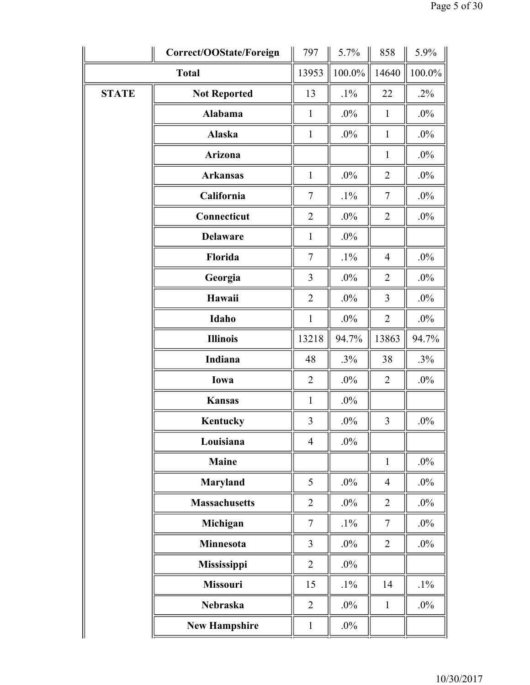|              | Correct/OOState/Foreign | 797            | 5.7%   | 858            | 5.9%   |
|--------------|-------------------------|----------------|--------|----------------|--------|
|              | <b>Total</b>            |                | 100.0% | 14640          | 100.0% |
| <b>STATE</b> | <b>Not Reported</b>     | 13             | $.1\%$ | 22             | $.2\%$ |
|              | <b>Alabama</b>          | $\mathbf{1}$   | $.0\%$ | $\mathbf{1}$   | $.0\%$ |
|              | <b>Alaska</b>           | $\mathbf{1}$   | $.0\%$ | $\mathbf{1}$   | $.0\%$ |
|              | <b>Arizona</b>          |                |        | $\mathbf{1}$   | $.0\%$ |
|              | <b>Arkansas</b>         | $\mathbf{1}$   | $.0\%$ | $\overline{2}$ | $.0\%$ |
|              | California              | 7              | $.1\%$ | $\tau$         | $.0\%$ |
|              | Connecticut             | $\overline{2}$ | $.0\%$ | $\overline{2}$ | $.0\%$ |
|              | <b>Delaware</b>         | $\mathbf{1}$   | $.0\%$ |                |        |
|              | Florida                 | 7              | $.1\%$ | $\overline{4}$ | $.0\%$ |
|              | Georgia                 | 3              | .0%    | $\overline{2}$ | $.0\%$ |
|              | Hawaii                  | $\overline{2}$ | $.0\%$ | 3              | $.0\%$ |
|              | Idaho                   | $\mathbf{1}$   | $.0\%$ | $\overline{2}$ | $.0\%$ |
|              | <b>Illinois</b>         | 13218          | 94.7%  | 13863          | 94.7%  |
|              | Indiana                 | 48             | .3%    | 38             | $.3\%$ |
|              | Iowa                    | $\overline{2}$ | $.0\%$ | $\overline{2}$ | $.0\%$ |
|              | <b>Kansas</b>           | $\mathbf{1}$   | $.0\%$ |                |        |
|              | Kentucky                | 3              | $.0\%$ | $\overline{3}$ | $.0\%$ |
|              | Louisiana               | $\overline{4}$ | $.0\%$ |                |        |
|              | Maine                   |                |        | $\mathbf{1}$   | $.0\%$ |
|              | Maryland                | 5              | $.0\%$ | $\overline{4}$ | $.0\%$ |
|              | <b>Massachusetts</b>    | $\overline{2}$ | $.0\%$ | $\overline{2}$ | $.0\%$ |
|              | Michigan                | $\tau$         | $.1\%$ | $\tau$         | $.0\%$ |
|              | Minnesota               | 3              | $.0\%$ | $\overline{2}$ | $.0\%$ |
|              | Mississippi             | $\overline{2}$ | $.0\%$ |                |        |
|              | Missouri                | 15             | $.1\%$ | 14             | $.1\%$ |
|              | <b>Nebraska</b>         | $\overline{2}$ | $.0\%$ | $\mathbf{1}$   | $.0\%$ |
|              | <b>New Hampshire</b>    | $\mathbf{1}$   | $.0\%$ |                |        |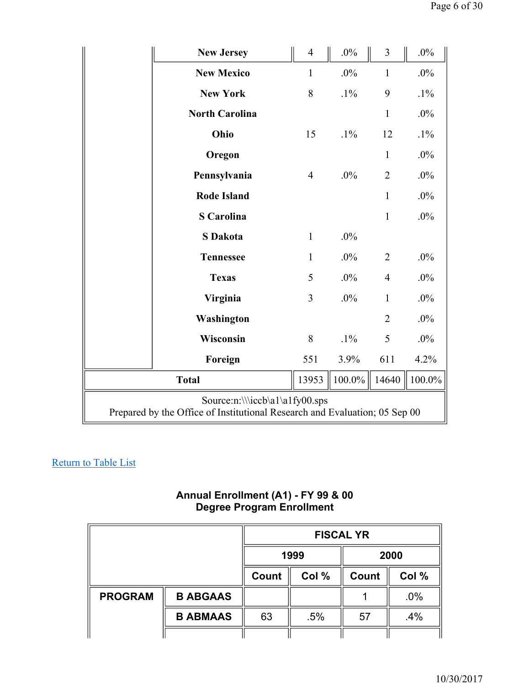|                                                                                                              | <b>New Jersey</b>     | $\overline{4}$ | $.0\%$ | 3              | $.0\%$ |
|--------------------------------------------------------------------------------------------------------------|-----------------------|----------------|--------|----------------|--------|
|                                                                                                              | <b>New Mexico</b>     | 1              | $.0\%$ | $\mathbf{1}$   | $.0\%$ |
|                                                                                                              | <b>New York</b>       | 8              | $.1\%$ | 9              | $.1\%$ |
|                                                                                                              | <b>North Carolina</b> |                |        | $\mathbf{1}$   | $.0\%$ |
|                                                                                                              | Ohio                  | 15             | $.1\%$ | 12             | $.1\%$ |
|                                                                                                              | Oregon                |                |        | $\mathbf{1}$   | $.0\%$ |
|                                                                                                              | Pennsylvania          | $\overline{4}$ | $.0\%$ | $\overline{2}$ | $.0\%$ |
|                                                                                                              | <b>Rode Island</b>    |                |        | $\mathbf{1}$   | $.0\%$ |
|                                                                                                              | <b>S</b> Carolina     |                |        | $\mathbf{1}$   | $.0\%$ |
|                                                                                                              | <b>S</b> Dakota       | $\mathbf{1}$   | $.0\%$ |                |        |
|                                                                                                              | <b>Tennessee</b>      | $\mathbf{1}$   | $.0\%$ | $\overline{2}$ | $.0\%$ |
|                                                                                                              | <b>Texas</b>          | 5              | $.0\%$ | $\overline{4}$ | $.0\%$ |
|                                                                                                              | Virginia              | 3              | $.0\%$ | $\mathbf{1}$   | $.0\%$ |
|                                                                                                              | Washington            |                |        | $\overline{2}$ | $.0\%$ |
|                                                                                                              | Wisconsin             | 8              | $.1\%$ | 5              | .0%    |
|                                                                                                              | Foreign               | 551            | 3.9%   | 611            | 4.2%   |
|                                                                                                              | 13953                 | 100.0%         | 14640  | 100.0%         |        |
| Source:n:\\\iccb\a1\a1fy00.sps<br>Prepared by the Office of Institutional Research and Evaluation; 05 Sep 00 |                       |                |        |                |        |

#### **Annual Enrollment (A1) - FY 99 & 00 Degree Program Enrollment**

|                |                 | <b>FISCAL YR</b> |       |              |       |
|----------------|-----------------|------------------|-------|--------------|-------|
|                |                 | 1999             |       |              | 2000  |
|                |                 | Count            | Col % | <b>Count</b> | Col % |
| <b>PROGRAM</b> | <b>B ABGAAS</b> |                  |       |              | .0%   |
|                | <b>B ABMAAS</b> | 63               | .5%   | 57           | .4%   |
|                |                 |                  |       |              |       |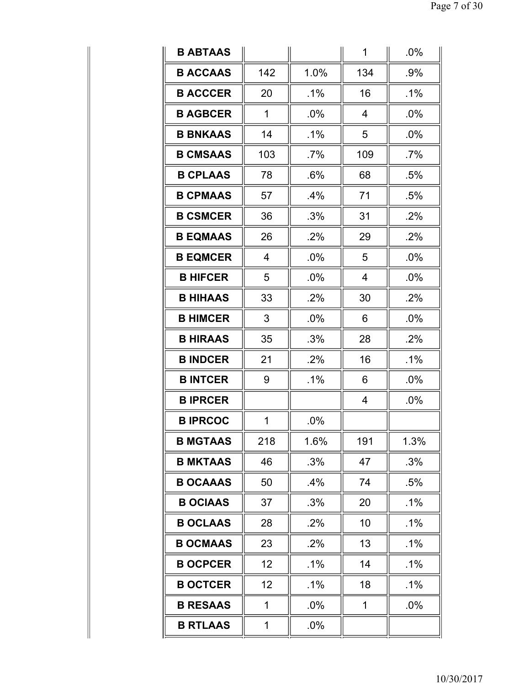| <b>B ABTAAS</b> |                |        | 1   | $.0\%$ |
|-----------------|----------------|--------|-----|--------|
| <b>B ACCAAS</b> | 142            | 1.0%   | 134 | .9%    |
| <b>B ACCCER</b> | 20             | $.1\%$ | 16  | $.1\%$ |
| <b>B AGBCER</b> | 1              | .0%    | 4   | $.0\%$ |
| <b>B BNKAAS</b> | 14             | $.1\%$ | 5   | $.0\%$ |
| <b>B CMSAAS</b> | 103            | $.7\%$ | 109 | .7%    |
| <b>B CPLAAS</b> | 78             | .6%    | 68  | .5%    |
| <b>B CPMAAS</b> | 57             | .4%    | 71  | .5%    |
| <b>B CSMCER</b> | 36             | .3%    | 31  | .2%    |
| <b>B EQMAAS</b> | 26             | .2%    | 29  | .2%    |
| <b>B EQMCER</b> | $\overline{4}$ | .0%    | 5   | .0%    |
| <b>B HIFCER</b> | 5              | .0%    | 4   | .0%    |
| <b>B HIHAAS</b> | 33             | .2%    | 30  | .2%    |
| <b>B HIMCER</b> | 3              | .0%    | 6   | .0%    |
| <b>B HIRAAS</b> | 35             | .3%    | 28  | .2%    |
| <b>B INDCER</b> | 21             | .2%    | 16  | $.1\%$ |
| <b>B INTCER</b> | 9              | .1%    | 6   | .0%    |
| <b>B IPRCER</b> |                |        | 4   | .0%    |
| <b>BIPRCOC</b>  | 1              | .0%    |     |        |
| <b>B MGTAAS</b> | 218            | 1.6%   | 191 | 1.3%   |
| <b>B MKTAAS</b> | 46             | .3%    | 47  | .3%    |
| <b>B OCAAAS</b> |                |        |     |        |
|                 | 50             | .4%    | 74  | .5%    |
| <b>B OCIAAS</b> | 37             | .3%    | 20  | .1%    |
| <b>B OCLAAS</b> | 28             | .2%    | 10  | .1%    |
| <b>B OCMAAS</b> | 23             | .2%    | 13  | $.1\%$ |
| <b>B OCPCER</b> | 12             | $.1\%$ | 14  | $.1\%$ |
| <b>B OCTCER</b> | 12             | $.1\%$ | 18  | $.1\%$ |
| <b>B RESAAS</b> | 1              | .0%    | 1   | .0%    |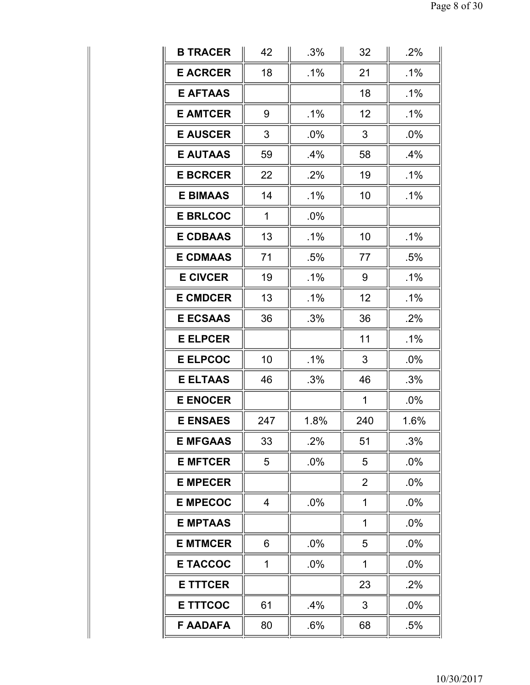| <b>B TRACER</b> | 42             | .3%    | 32             | .2%    |
|-----------------|----------------|--------|----------------|--------|
| <b>E ACRCER</b> | 18             | $.1\%$ | 21             | $.1\%$ |
| <b>E AFTAAS</b> |                |        | 18             | $.1\%$ |
| <b>E AMTCER</b> | 9              | $.1\%$ | 12             | $.1\%$ |
| <b>E AUSCER</b> | 3              | $.0\%$ | 3              | $.0\%$ |
| <b>E AUTAAS</b> | 59             | $.4\%$ | 58             | .4%    |
| <b>E BCRCER</b> | 22             | .2%    | 19             | $.1\%$ |
| <b>E BIMAAS</b> | 14             | $.1\%$ | 10             | .1%    |
| <b>E BRLCOC</b> | $\mathbf{1}$   | $.0\%$ |                |        |
| <b>E CDBAAS</b> | 13             | $.1\%$ | 10             | .1%    |
| <b>E CDMAAS</b> | 71             | .5%    | 77             | .5%    |
| <b>E CIVCER</b> | 19             | $.1\%$ | 9              | $.1\%$ |
| <b>E CMDCER</b> | 13             | $.1\%$ | 12             | $.1\%$ |
| <b>E ECSAAS</b> | 36             | .3%    | 36             | .2%    |
| <b>E ELPCER</b> |                |        | 11             | $.1\%$ |
| <b>E ELPCOC</b> | 10             | $.1\%$ | 3              | .0%    |
| <b>E ELTAAS</b> | 46             | .3%    | 46             | .3%    |
| <b>E ENOCER</b> |                |        | $\mathbf{1}$   | .0%    |
| <b>E ENSAES</b> | 247            | 1.8%   | 240            | 1.6%   |
| <b>E MFGAAS</b> | 33             | .2%    | 51             | .3%    |
| <b>E MFTCER</b> | 5              | .0%    | 5              | .0%    |
| <b>E MPECER</b> |                |        | $\overline{2}$ | .0%    |
| <b>E MPECOC</b> | $\overline{4}$ | .0%    | 1              | $.0\%$ |
| <b>E MPTAAS</b> |                |        | 1              | .0%    |
| <b>E MTMCER</b> | 6              | .0%    | 5              | .0%    |
| <b>E TACCOC</b> | 1              | .0%    | 1              | .0%    |
| <b>E TTTCER</b> |                |        | 23             | .2%    |
| <b>E TTTCOC</b> | 61             | .4%    | 3              | $.0\%$ |
| <b>F AADAFA</b> | 80             | .6%    | 68             | .5%    |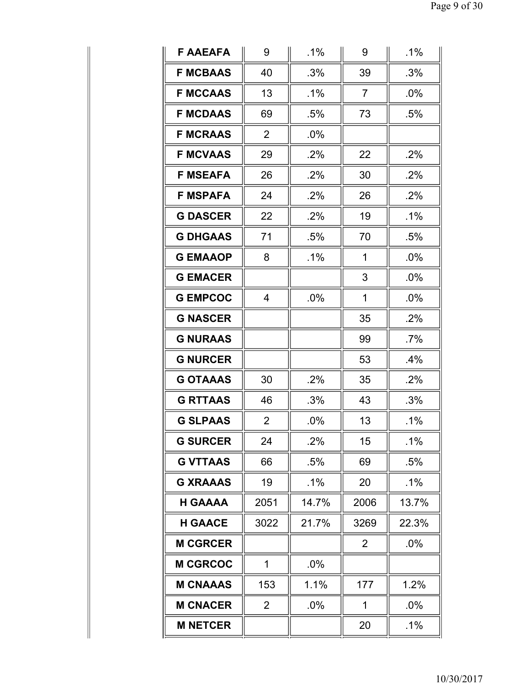| <b>F AAEAFA</b> | 9              | $.1\%$ | 9              | $.1\%$ |
|-----------------|----------------|--------|----------------|--------|
| <b>F MCBAAS</b> | 40             | .3%    | 39             | .3%    |
| <b>F MCCAAS</b> | 13             | $.1\%$ | $\overline{7}$ | $.0\%$ |
| <b>F MCDAAS</b> | 69             | $.5\%$ | 73             | .5%    |
| <b>F MCRAAS</b> | $\overline{2}$ | .0%    |                |        |
| <b>F MCVAAS</b> | 29             | .2%    | 22             | .2%    |
| <b>F MSEAFA</b> | 26             | .2%    | 30             | .2%    |
| <b>F MSPAFA</b> | 24             | .2%    | 26             | .2%    |
| <b>G DASCER</b> | 22             | .2%    | 19             | $.1\%$ |
| <b>G DHGAAS</b> | 71             | .5%    | 70             | .5%    |
| <b>G EMAAOP</b> | 8              | $.1\%$ | 1              | $.0\%$ |
| <b>G EMACER</b> |                |        | 3              | $.0\%$ |
| <b>G EMPCOC</b> | $\overline{4}$ | .0%    | 1              | $.0\%$ |
| <b>G NASCER</b> |                |        | 35             | .2%    |
| <b>G NURAAS</b> |                |        | 99             | $.7\%$ |
| <b>G NURCER</b> |                |        | 53             | .4%    |
| <b>G OTAAAS</b> | 30             | .2%    | 35             | .2%    |
| <b>G RTTAAS</b> | 46             | .3%    | 43             | .3%    |
| <b>G SLPAAS</b> | $\overline{2}$ | .0%    | 13             | $.1\%$ |
| <b>G SURCER</b> | 24             | .2%    | 15             | $.1\%$ |
| <b>G VTTAAS</b> | 66             | .5%    | 69             | $.5\%$ |
| <b>G XRAAAS</b> | 19             | $.1\%$ | 20             | $.1\%$ |
| <b>H GAAAA</b>  | 2051           | 14.7%  | 2006           | 13.7%  |
| <b>H GAACE</b>  | 3022           | 21.7%  | 3269           | 22.3%  |
| <b>M CGRCER</b> |                |        | $\overline{2}$ | .0%    |
| <b>M CGRCOC</b> | $\mathbf{1}$   | .0%    |                |        |
| <b>M CNAAAS</b> | 153            | 1.1%   | 177            | 1.2%   |
| <b>M CNACER</b> | $\overline{2}$ | $.0\%$ | 1              | $.0\%$ |
| <b>M NETCER</b> |                |        | 20             | $.1\%$ |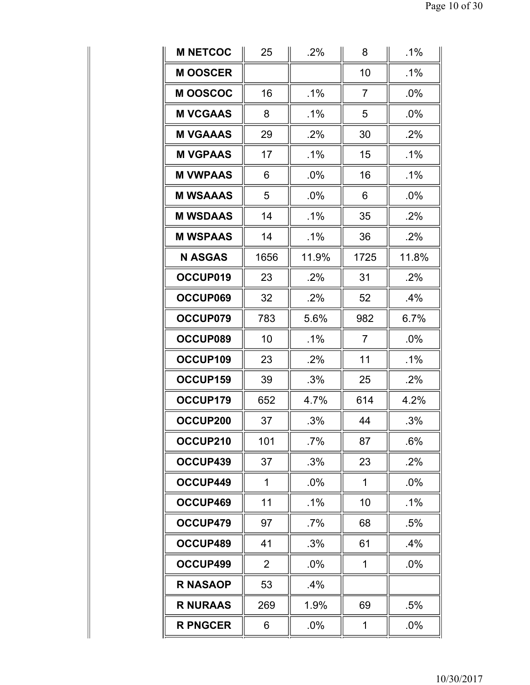| <b>M NETCOC</b> | 25             | .2%    | 8              | .1%    |
|-----------------|----------------|--------|----------------|--------|
| <b>MOOSCER</b>  |                |        | 10             | $.1\%$ |
| <b>MOOSCOC</b>  | 16             | $.1\%$ | $\overline{7}$ | $.0\%$ |
| <b>M VCGAAS</b> | 8              | $.1\%$ | 5              | $.0\%$ |
| <b>M VGAAAS</b> | 29             | $.2\%$ | 30             | $.2\%$ |
| <b>M VGPAAS</b> | 17             | $.1\%$ | 15             | $.1\%$ |
| <b>M VWPAAS</b> | 6              | $.0\%$ | 16             | .1%    |
| <b>M WSAAAS</b> | 5              | .0%    | 6              | .0%    |
| <b>M WSDAAS</b> | 14             | $.1\%$ | 35             | .2%    |
| <b>M WSPAAS</b> | 14             | $.1\%$ | 36             | .2%    |
| <b>N ASGAS</b>  | 1656           | 11.9%  | 1725           | 11.8%  |
| OCCUP019        | 23             | .2%    | 31             | .2%    |
| OCCUP069        | 32             | .2%    | 52             | $.4\%$ |
| OCCUP079        | 783            | 5.6%   | 982            | 6.7%   |
| OCCUP089        | 10             | $.1\%$ | $\overline{7}$ | $.0\%$ |
| OCCUP109        | 23             | .2%    | 11             | $.1\%$ |
| OCCUP159        | 39             | .3%    | 25             | .2%    |
| OCCUP179        | 652            | 4.7%   | 614            | 4.2%   |
| OCCUP200        | 37             | .3%    | 44             | .3%    |
| OCCUP210        | 101            | $.7\%$ | 87             | .6%    |
| OCCUP439        | 37             | .3%    | 23             | .2%    |
| OCCUP449        | 1              | .0%    | 1              | $.0\%$ |
| OCCUP469        | 11             | .1%    | 10             | $.1\%$ |
| OCCUP479        | 97             | $.7\%$ | 68             | .5%    |
| OCCUP489        | 41             | .3%    | 61             | .4%    |
| OCCUP499        | $\overline{2}$ | $.0\%$ | 1              | $.0\%$ |
| <b>R NASAOP</b> | 53             | $.4\%$ |                |        |
| <b>R NURAAS</b> | 269            | 1.9%   | 69             | .5%    |
| <b>R PNGCER</b> | 6              | $.0\%$ | 1              | $.0\%$ |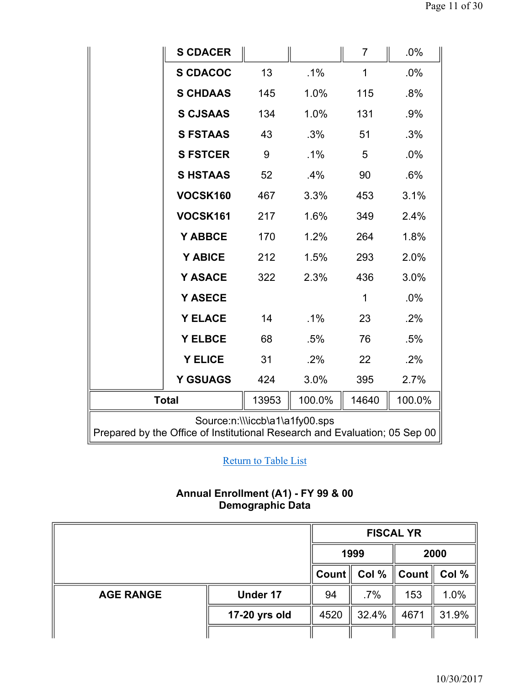|                                                                                                              | <b>S CDACER</b> |       |        | 7           | .0%    |  |  |
|--------------------------------------------------------------------------------------------------------------|-----------------|-------|--------|-------------|--------|--|--|
|                                                                                                              | <b>S CDACOC</b> | 13    | .1%    | 1           | .0%    |  |  |
|                                                                                                              | <b>S CHDAAS</b> | 145   | 1.0%   | 115         | .8%    |  |  |
|                                                                                                              | <b>S CJSAAS</b> | 134   | 1.0%   | 131         | .9%    |  |  |
|                                                                                                              | <b>S FSTAAS</b> | 43    | .3%    | 51          | .3%    |  |  |
|                                                                                                              | <b>S FSTCER</b> | 9     | .1%    | 5           | $.0\%$ |  |  |
|                                                                                                              | <b>SHSTAAS</b>  | 52    | .4%    | 90          | .6%    |  |  |
|                                                                                                              | VOCSK160        | 467   | 3.3%   | 453         | 3.1%   |  |  |
|                                                                                                              | VOCSK161        | 217   | 1.6%   | 349         | 2.4%   |  |  |
|                                                                                                              | Y ABBCE         | 170   | 1.2%   | 264         | 1.8%   |  |  |
|                                                                                                              | Y ABICE         | 212   | 1.5%   | 293         | 2.0%   |  |  |
|                                                                                                              | Y ASACE         | 322   | 2.3%   | 436         | 3.0%   |  |  |
|                                                                                                              | <b>Y ASECE</b>  |       |        | $\mathbf 1$ | .0%    |  |  |
|                                                                                                              | <b>Y ELACE</b>  | 14    | .1%    | 23          | $.2\%$ |  |  |
|                                                                                                              | <b>Y ELBCE</b>  | 68    | .5%    | 76          | .5%    |  |  |
|                                                                                                              | <b>Y ELICE</b>  | 31    | .2%    | 22          | .2%    |  |  |
|                                                                                                              | <b>Y GSUAGS</b> | 424   | 3.0%   | 395         | 2.7%   |  |  |
| <b>Total</b>                                                                                                 |                 | 13953 | 100.0% | 14640       | 100.0% |  |  |
| Source:n:\\\iccb\a1\a1fy00.sps<br>Prepared by the Office of Institutional Research and Evaluation; 05 Sep 00 |                 |       |        |             |        |  |  |

## **Annual Enrollment (A1) - FY 99 & 00 Demographic Data**

|                  |                 | <b>FISCAL YR</b>     |        |                         |       |  |
|------------------|-----------------|----------------------|--------|-------------------------|-------|--|
|                  |                 | 1999                 |        | 2000                    |       |  |
|                  |                 | $C$ ount $\parallel$ | Col %  | Count $\parallel$ Col % |       |  |
| <b>AGE RANGE</b> | <b>Under 17</b> | 94                   | $.7\%$ | 153                     | 1.0%  |  |
|                  | 17-20 yrs old   | 4520                 | 32.4%  | 4671                    | 31.9% |  |
|                  |                 |                      |        |                         |       |  |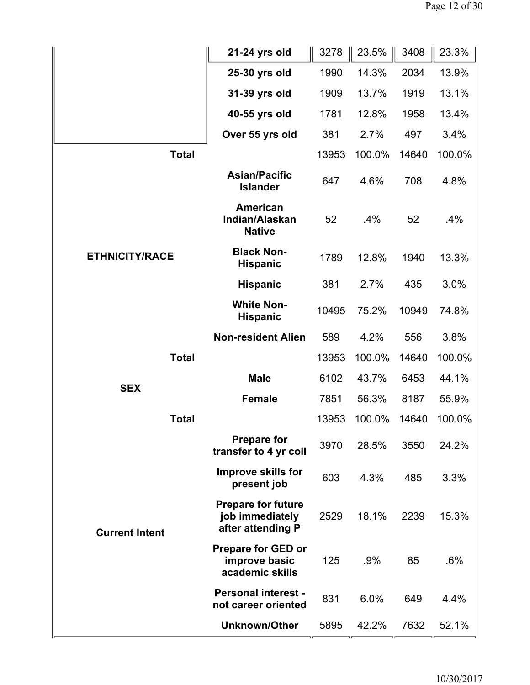|                       | 21-24 yrs old                                                     | 3278  | 23.5%  | 3408  | 23.3%  |
|-----------------------|-------------------------------------------------------------------|-------|--------|-------|--------|
|                       | 25-30 yrs old                                                     | 1990  | 14.3%  | 2034  | 13.9%  |
|                       | 31-39 yrs old                                                     | 1909  | 13.7%  | 1919  | 13.1%  |
|                       | 40-55 yrs old                                                     | 1781  | 12.8%  | 1958  | 13.4%  |
|                       | Over 55 yrs old                                                   | 381   | 2.7%   | 497   | 3.4%   |
| <b>Total</b>          |                                                                   | 13953 | 100.0% | 14640 | 100.0% |
|                       | <b>Asian/Pacific</b><br><b>Islander</b>                           | 647   | 4.6%   | 708   | 4.8%   |
|                       | <b>American</b><br>Indian/Alaskan<br><b>Native</b>                | 52    | $.4\%$ | 52    | .4%    |
| <b>ETHNICITY/RACE</b> | <b>Black Non-</b><br><b>Hispanic</b>                              | 1789  | 12.8%  | 1940  | 13.3%  |
|                       | <b>Hispanic</b>                                                   | 381   | 2.7%   | 435   | 3.0%   |
|                       | <b>White Non-</b><br><b>Hispanic</b>                              | 10495 | 75.2%  | 10949 | 74.8%  |
|                       | <b>Non-resident Alien</b>                                         | 589   | 4.2%   | 556   | 3.8%   |
| <b>Total</b>          |                                                                   | 13953 | 100.0% | 14640 | 100.0% |
| <b>SEX</b>            | <b>Male</b>                                                       | 6102  | 43.7%  | 6453  | 44.1%  |
|                       | <b>Female</b>                                                     | 7851  | 56.3%  | 8187  | 55.9%  |
| <b>Total</b>          |                                                                   | 13953 | 100.0% | 14640 | 100.0% |
|                       | <b>Prepare for</b><br>transfer to 4 yr coll                       | 3970  | 28.5%  | 3550  | 24.2%  |
|                       | <b>Improve skills for</b><br>present job                          | 603   | 4.3%   | 485   | 3.3%   |
| <b>Current Intent</b> | <b>Prepare for future</b><br>job immediately<br>after attending P | 2529  | 18.1%  | 2239  | 15.3%  |
|                       | <b>Prepare for GED or</b><br>improve basic<br>academic skills     | 125   | .9%    | 85    | .6%    |
|                       | <b>Personal interest -</b><br>not career oriented                 | 831   | 6.0%   | 649   | 4.4%   |
|                       | <b>Unknown/Other</b>                                              | 5895  | 42.2%  | 7632  | 52.1%  |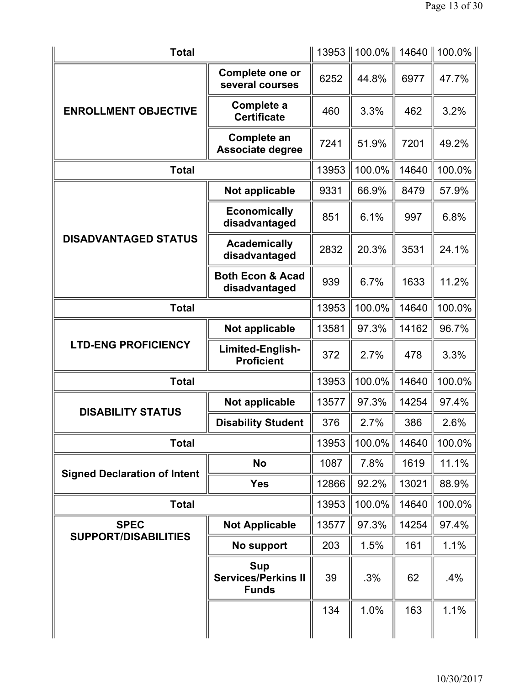| <b>Total</b>                        |                                                          | 13953 | $100.0\%$ | 14640 | 100.0% |
|-------------------------------------|----------------------------------------------------------|-------|-----------|-------|--------|
|                                     | Complete one or<br>several courses                       | 6252  | 44.8%     | 6977  | 47.7%  |
| <b>ENROLLMENT OBJECTIVE</b>         | Complete a<br><b>Certificate</b>                         | 460   | 3.3%      | 462   | 3.2%   |
|                                     | Complete an<br>Associate degree                          | 7241  | 51.9%     | 7201  | 49.2%  |
| <b>Total</b>                        |                                                          | 13953 | 100.0%    | 14640 | 100.0% |
| <b>DISADVANTAGED STATUS</b>         | Not applicable                                           | 9331  | 66.9%     | 8479  | 57.9%  |
|                                     | <b>Economically</b><br>disadvantaged                     | 851   | 6.1%      | 997   | 6.8%   |
|                                     | <b>Academically</b><br>disadvantaged                     | 2832  | 20.3%     | 3531  | 24.1%  |
|                                     | <b>Both Econ &amp; Acad</b><br>disadvantaged             | 939   | 6.7%      | 1633  | 11.2%  |
| <b>Total</b>                        |                                                          | 13953 | 100.0%    | 14640 | 100.0% |
|                                     | Not applicable                                           | 13581 | 97.3%     | 14162 | 96.7%  |
| <b>LTD-ENG PROFICIENCY</b>          | Limited-English-<br><b>Proficient</b>                    | 372   | 2.7%      | 478   | 3.3%   |
| <b>Total</b>                        |                                                          | 13953 | 100.0%    | 14640 | 100.0% |
| <b>DISABILITY STATUS</b>            | Not applicable                                           | 13577 | 97.3%     | 14254 | 97.4%  |
|                                     | <b>Disability Student</b>                                | 376   | 2.7%      | 386   | 2.6%   |
| <b>Total</b>                        |                                                          | 13953 | 100.0%    | 14640 | 100.0% |
| <b>Signed Declaration of Intent</b> | No                                                       | 1087  | 7.8%      | 1619  | 11.1%  |
|                                     | <b>Yes</b>                                               | 12866 | 92.2%     | 13021 | 88.9%  |
| <b>Total</b>                        |                                                          | 13953 | 100.0%    | 14640 | 100.0% |
| <b>SPEC</b>                         | <b>Not Applicable</b>                                    | 13577 | 97.3%     | 14254 | 97.4%  |
| <b>SUPPORT/DISABILITIES</b>         | No support                                               | 203   | 1.5%      | 161   | 1.1%   |
|                                     | <b>Sup</b><br><b>Services/Perkins II</b><br><b>Funds</b> | 39    | .3%       | 62    | $.4\%$ |
|                                     |                                                          | 134   | 1.0%      | 163   | 1.1%   |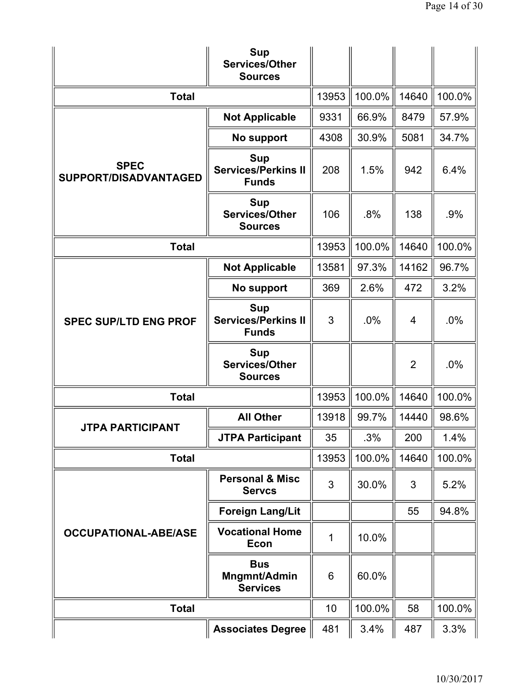|                                      | <b>Sup</b><br><b>Services/Other</b><br><b>Sources</b>    |       |        |                |        |
|--------------------------------------|----------------------------------------------------------|-------|--------|----------------|--------|
| <b>Total</b>                         |                                                          | 13953 | 100.0% | 14640          | 100.0% |
|                                      | <b>Not Applicable</b>                                    | 9331  | 66.9%  | 8479           | 57.9%  |
|                                      | No support                                               | 4308  | 30.9%  | 5081           | 34.7%  |
| <b>SPEC</b><br>SUPPORT/DISADVANTAGED | <b>Sup</b><br><b>Services/Perkins II</b><br><b>Funds</b> | 208   | 1.5%   | 942            | 6.4%   |
|                                      | <b>Sup</b><br>Services/Other<br><b>Sources</b>           | 106   | .8%    | 138            | .9%    |
| <b>Total</b>                         |                                                          | 13953 | 100.0% | 14640          | 100.0% |
|                                      | <b>Not Applicable</b>                                    | 13581 | 97.3%  | 14162          | 96.7%  |
|                                      | No support                                               | 369   | 2.6%   | 472            | 3.2%   |
| <b>SPEC SUP/LTD ENG PROF</b>         | <b>Sup</b><br><b>Services/Perkins II</b><br><b>Funds</b> | 3     | .0%    | $\overline{4}$ | .0%    |
|                                      | <b>Sup</b><br><b>Services/Other</b><br><b>Sources</b>    |       |        | $\overline{2}$ | .0%    |
| <b>Total</b>                         |                                                          | 13953 | 100.0% | 14640          | 100.0% |
| <b>JTPA PARTICIPANT</b>              | <b>All Other</b>                                         | 13918 | 99.7%  | 14440          | 98.6%  |
|                                      | <b>JTPA Participant</b>                                  | 35    | .3%    | 200            | 1.4%   |
| <b>Total</b>                         |                                                          | 13953 | 100.0% | 14640          | 100.0% |
|                                      | <b>Personal &amp; Misc</b><br><b>Servcs</b>              | 3     | 30.0%  | 3              | 5.2%   |
|                                      | <b>Foreign Lang/Lit</b>                                  |       |        | 55             | 94.8%  |
| <b>OCCUPATIONAL-ABE/ASE</b>          | <b>Vocational Home</b><br><b>Econ</b>                    | 1     | 10.0%  |                |        |
|                                      | <b>Bus</b><br>Mngmnt/Admin<br><b>Services</b>            | 6     | 60.0%  |                |        |
| <b>Total</b>                         |                                                          | 10    | 100.0% | 58             | 100.0% |
|                                      | <b>Associates Degree</b>                                 | 481   | 3.4%   | 487            | 3.3%   |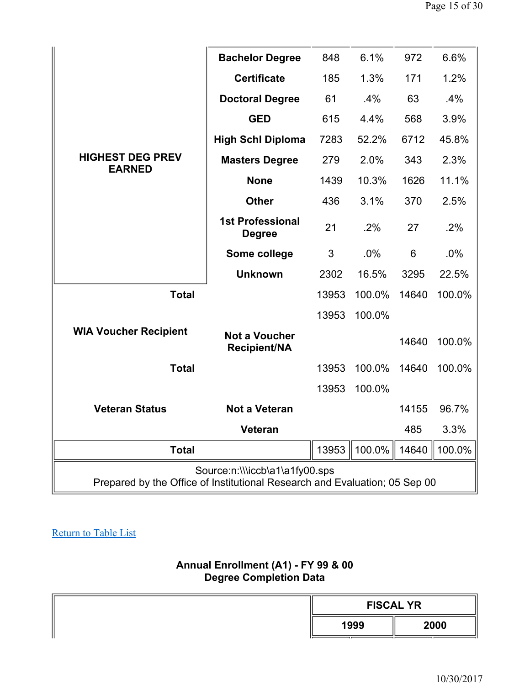|                                                                                                              | <b>Bachelor Degree</b>                      | 848   | 6.1%   | 972   | 6.6%   |  |  |
|--------------------------------------------------------------------------------------------------------------|---------------------------------------------|-------|--------|-------|--------|--|--|
|                                                                                                              | <b>Certificate</b>                          | 185   | 1.3%   | 171   | 1.2%   |  |  |
|                                                                                                              | <b>Doctoral Degree</b>                      | 61    | .4%    | 63    | .4%    |  |  |
|                                                                                                              | <b>GED</b>                                  | 615   | 4.4%   | 568   | 3.9%   |  |  |
|                                                                                                              | <b>High Schl Diploma</b>                    | 7283  | 52.2%  | 6712  | 45.8%  |  |  |
| <b>HIGHEST DEG PREV</b>                                                                                      | <b>Masters Degree</b>                       | 279   | 2.0%   | 343   | 2.3%   |  |  |
| <b>EARNED</b>                                                                                                | <b>None</b>                                 | 1439  | 10.3%  | 1626  | 11.1%  |  |  |
|                                                                                                              | <b>Other</b>                                | 436   | 3.1%   | 370   | 2.5%   |  |  |
|                                                                                                              | <b>1st Professional</b><br><b>Degree</b>    | 21    | .2%    | 27    | .2%    |  |  |
|                                                                                                              | Some college                                | 3     | .0%    | 6     | .0%    |  |  |
|                                                                                                              | <b>Unknown</b>                              | 2302  | 16.5%  | 3295  | 22.5%  |  |  |
| <b>Total</b>                                                                                                 |                                             | 13953 | 100.0% | 14640 | 100.0% |  |  |
|                                                                                                              |                                             | 13953 | 100.0% |       |        |  |  |
| <b>WIA Voucher Recipient</b>                                                                                 | <b>Not a Voucher</b><br><b>Recipient/NA</b> |       |        | 14640 | 100.0% |  |  |
| <b>Total</b>                                                                                                 |                                             | 13953 | 100.0% | 14640 | 100.0% |  |  |
|                                                                                                              |                                             | 13953 | 100.0% |       |        |  |  |
| <b>Veteran Status</b>                                                                                        | <b>Not a Veteran</b>                        |       |        | 14155 | 96.7%  |  |  |
|                                                                                                              | <b>Veteran</b>                              |       |        | 485   | 3.3%   |  |  |
| <b>Total</b>                                                                                                 |                                             |       | 100.0% | 14640 | 100.0% |  |  |
| Source:n:\\\iccb\a1\a1fy00.sps<br>Prepared by the Office of Institutional Research and Evaluation; 05 Sep 00 |                                             |       |        |       |        |  |  |

## **Annual Enrollment (A1) - FY 99 & 00 Degree Completion Data**

| <b>FISCAL YR</b> |      |  |  |  |
|------------------|------|--|--|--|
| 1999             | 2000 |  |  |  |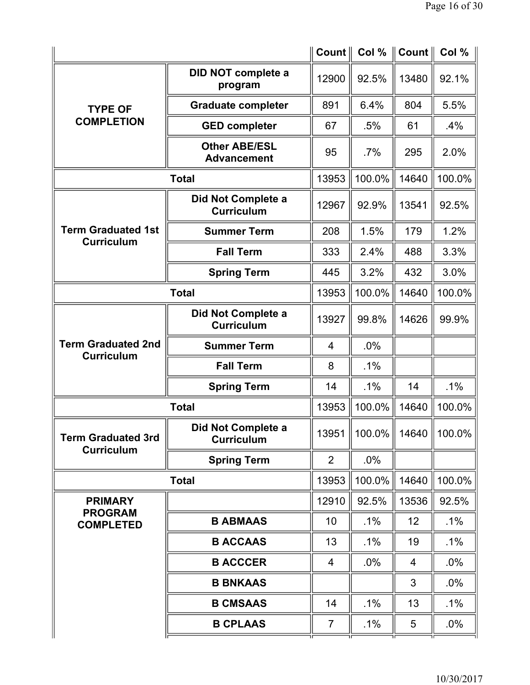|                                                |                                            | Count $\parallel$ | Col %     | $Count \parallel$ | Col %          |
|------------------------------------------------|--------------------------------------------|-------------------|-----------|-------------------|----------------|
|                                                | DID NOT complete a<br>program              | 12900             | 92.5%     | 13480             | 92.1%          |
| <b>TYPE OF</b>                                 | <b>Graduate completer</b>                  | 891               | 6.4%      | 804               | 5.5%           |
| <b>COMPLETION</b>                              | <b>GED completer</b>                       | 67                | .5%       | 61                | .4%            |
|                                                | <b>Other ABE/ESL</b><br><b>Advancement</b> | 95                | .7%       | 295               | 2.0%           |
|                                                | <b>Total</b>                               | 13953             | 100.0%    | 14640             | 100.0%         |
|                                                | Did Not Complete a<br><b>Curriculum</b>    | 12967             | 92.9%     | 13541             | 92.5%          |
| <b>Term Graduated 1st</b><br><b>Curriculum</b> | <b>Summer Term</b>                         | 208               | 1.5%      | 179               | 1.2%           |
|                                                | <b>Fall Term</b>                           | 333               | 2.4%      | 488               | 3.3%           |
|                                                | <b>Spring Term</b>                         | 445               | 3.2%      | 432               | 3.0%           |
|                                                | <b>Total</b>                               | 13953             | 100.0%    | 14640             | 100.0%         |
|                                                | Did Not Complete a<br><b>Curriculum</b>    | 13927             | 99.8%     | 14626             | 99.9%          |
| <b>Term Graduated 2nd</b><br><b>Curriculum</b> | <b>Summer Term</b>                         | 4                 | .0%       |                   |                |
|                                                | <b>Fall Term</b>                           | 8                 | .1%       |                   |                |
|                                                | <b>Spring Term</b>                         | 14                | $.1\%$    | 14                | .1%            |
|                                                | <b>Total</b>                               | 13953             | 100.0%    | 14640             | 100.0%         |
| <b>Term Graduated 3rd</b><br><b>Curriculum</b> | Did Not Complete a<br><b>Curriculum</b>    | 13951             | $100.0\%$ |                   | 14640   100.0% |
|                                                | <b>Spring Term</b>                         | 2                 | .0%       |                   |                |
|                                                | <b>Total</b>                               | 13953             | 100.0%    | 14640             | 100.0%         |
| <b>PRIMARY</b>                                 |                                            | 12910             | 92.5%     | 13536             | 92.5%          |
| <b>PROGRAM</b><br><b>COMPLETED</b>             | <b>B ABMAAS</b>                            | 10                | $.1\%$    | 12                | $.1\%$         |
|                                                | <b>B ACCAAS</b>                            | 13                | $.1\%$    | 19                | $.1\%$         |
|                                                | <b>B ACCCER</b>                            | 4                 | $.0\%$    | $\overline{4}$    | $.0\%$         |
|                                                | <b>B BNKAAS</b>                            |                   |           | 3                 | $.0\%$         |
|                                                | <b>B CMSAAS</b>                            | 14                | $.1\%$    | 13                | $.1\%$         |
|                                                | <b>B CPLAAS</b>                            | $\overline{7}$    | $.1\%$    | 5                 | $.0\%$         |
|                                                |                                            |                   |           |                   |                |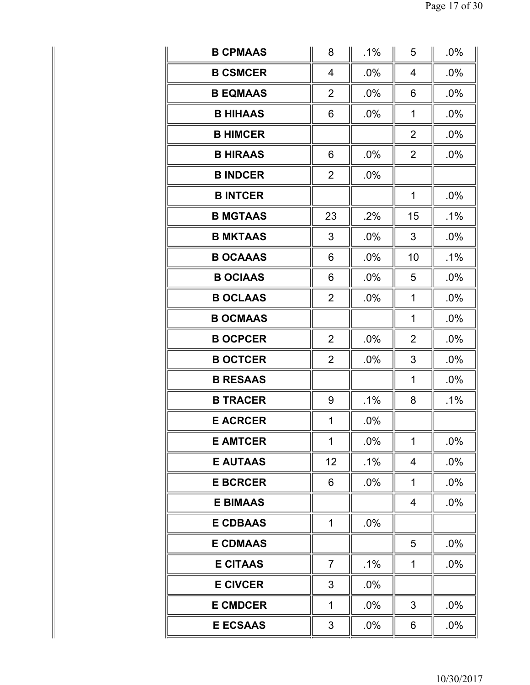| <b>B CPMAAS</b> | 8              | $.1\%$ | 5              | .0%    |
|-----------------|----------------|--------|----------------|--------|
| <b>B CSMCER</b> | 4              | .0%    | $\overline{4}$ | .0%    |
| <b>B EQMAAS</b> | $\overline{2}$ | .0%    | 6              | .0%    |
| <b>B HIHAAS</b> | 6              | .0%    | 1              | .0%    |
| <b>B HIMCER</b> |                |        | $\overline{2}$ | .0%    |
| <b>B HIRAAS</b> | 6              | .0%    | $\overline{2}$ | .0%    |
| <b>B INDCER</b> | $\overline{2}$ | .0%    |                |        |
| <b>B INTCER</b> |                |        | 1              | .0%    |
| <b>B MGTAAS</b> | 23             | .2%    | 15             | $.1\%$ |
| <b>B MKTAAS</b> | 3              | .0%    | 3              | .0%    |
| <b>B OCAAAS</b> | 6              | .0%    | 10             | $.1\%$ |
| <b>B OCIAAS</b> | 6              | .0%    | 5              | .0%    |
| <b>B OCLAAS</b> | $\overline{2}$ | .0%    | 1              | .0%    |
| <b>B OCMAAS</b> |                |        | 1              | .0%    |
| <b>B OCPCER</b> | $\overline{2}$ | .0%    | $\overline{2}$ | .0%    |
| <b>B OCTCER</b> | $\overline{2}$ | .0%    | 3              | .0%    |
| <b>B RESAAS</b> |                |        | 1              | .0%    |
| <b>B TRACER</b> | 9              | $.1\%$ | 8              | $.1\%$ |
| <b>E ACRCER</b> | 1              | .0%    |                |        |
| <b>E AMTCER</b> | 1              | .0%    | 1              | .0%    |
| <b>E AUTAAS</b> | 12             | $.1\%$ | 4              | .0%    |
| <b>E BCRCER</b> | 6              | .0%    | 1              | .0%    |
| <b>E BIMAAS</b> |                |        | $\overline{4}$ | .0%    |
| <b>E CDBAAS</b> | 1              | .0%    |                |        |
| <b>E CDMAAS</b> |                |        | 5              | .0%    |
| <b>E CITAAS</b> | $\overline{7}$ | $.1\%$ | 1              | .0%    |
| <b>E CIVCER</b> | 3              | .0%    |                |        |
| <b>E CMDCER</b> | 1              | .0%    | 3              | .0%    |
| <b>E ECSAAS</b> | 3              | .0%    | 6              | .0%    |
|                 |                |        |                |        |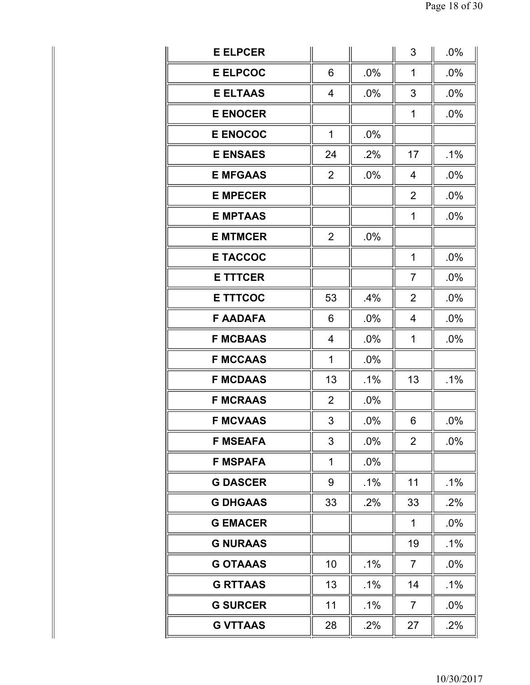| <b>E ELPCER</b> |                |        | 3              | .0%    |
|-----------------|----------------|--------|----------------|--------|
| <b>E ELPCOC</b> | 6              | .0%    | 1              | .0%    |
| <b>E ELTAAS</b> | 4              | .0%    | 3              | .0%    |
| <b>E ENOCER</b> |                |        | 1              | .0%    |
| <b>E ENOCOC</b> | $\mathbf{1}$   | .0%    |                |        |
| <b>E ENSAES</b> | 24             | .2%    | 17             | .1%    |
| <b>E MFGAAS</b> | $\overline{2}$ | .0%    | 4              | .0%    |
| <b>E MPECER</b> |                |        | $\overline{2}$ | .0%    |
| <b>E MPTAAS</b> |                |        | 1              | .0%    |
| <b>E MTMCER</b> | $\overline{2}$ | .0%    |                |        |
| <b>E TACCOC</b> |                |        | 1              | .0%    |
| <b>E TTTCER</b> |                |        | $\overline{7}$ | .0%    |
| <b>E TTTCOC</b> | 53             | .4%    | $\overline{2}$ | .0%    |
| <b>F AADAFA</b> | 6              | .0%    | $\overline{4}$ | .0%    |
| <b>F MCBAAS</b> | 4              | .0%    | 1              | .0%    |
| <b>F MCCAAS</b> | 1              | .0%    |                |        |
| <b>F MCDAAS</b> | 13             | $.1\%$ | 13             | $.1\%$ |
| <b>F MCRAAS</b> | $\overline{2}$ | .0%    |                |        |
| <b>F MCVAAS</b> | 3              | .0%    | 6              | .0%    |
| <b>F MSEAFA</b> | 3              | .0%    | $\overline{2}$ | .0%    |
| <b>F MSPAFA</b> | 1              | $.0\%$ |                |        |
| <b>G DASCER</b> | 9              | $.1\%$ | 11             | $.1\%$ |
| <b>G DHGAAS</b> | 33             | .2%    | 33             | .2%    |
| <b>G EMACER</b> |                |        | 1              | .0%    |
| <b>G NURAAS</b> |                |        | 19             | .1%    |
| <b>G OTAAAS</b> | 10             | .1%    | $\overline{7}$ | .0%    |
| <b>G RTTAAS</b> | 13             | .1%    | 14             | $.1\%$ |
| <b>G SURCER</b> | 11             | .1%    | $\overline{7}$ | .0%    |
| <b>G VTTAAS</b> | 28             | .2%    | 27             | .2%    |
|                 |                |        |                |        |

Ш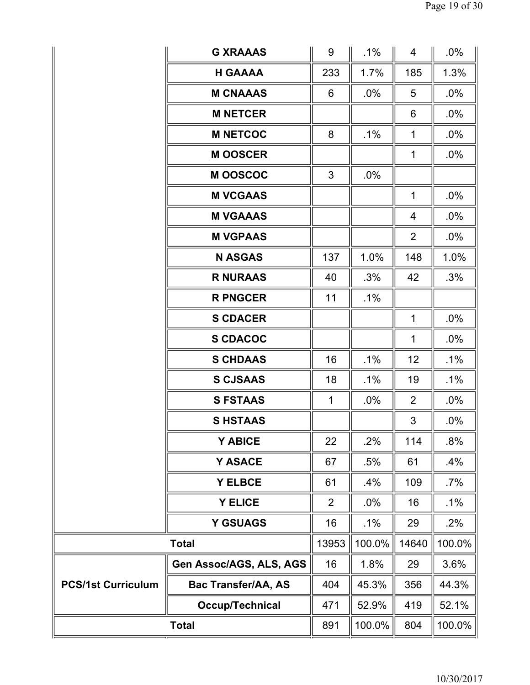|                           | <b>G XRAAAS</b>            | 9              | $.1\%$ | 4              | .0%    |
|---------------------------|----------------------------|----------------|--------|----------------|--------|
|                           | <b>H GAAAA</b>             | 233            | 1.7%   | 185            | 1.3%   |
|                           | <b>M CNAAAS</b>            | 6              | $.0\%$ | 5              | $.0\%$ |
|                           | <b>M NETCER</b>            |                |        | 6              | $.0\%$ |
|                           | <b>M NETCOC</b>            | 8              | .1%    | 1              | $.0\%$ |
|                           | <b>MOOSCER</b>             |                |        | $\mathbf 1$    | $.0\%$ |
|                           | <b>MOOSCOC</b>             | 3              | .0%    |                |        |
|                           | <b>M VCGAAS</b>            |                |        | $\mathbf 1$    | .0%    |
|                           | <b>M VGAAAS</b>            |                |        | $\overline{4}$ | $.0\%$ |
|                           | <b>M VGPAAS</b>            |                |        | $\overline{2}$ | $.0\%$ |
|                           | <b>N ASGAS</b>             | 137            | 1.0%   | 148            | 1.0%   |
|                           | <b>R NURAAS</b>            | 40             | .3%    | 42             | .3%    |
|                           | <b>R PNGCER</b>            | 11             | $.1\%$ |                |        |
|                           | <b>S CDACER</b>            |                |        | 1              | $.0\%$ |
|                           | <b>S CDACOC</b>            |                |        | 1              | $.0\%$ |
|                           | <b>S CHDAAS</b>            | 16             | $.1\%$ | 12             | $.1\%$ |
|                           | <b>S CJSAAS</b>            | 18             | $.1\%$ | 19             | $.1\%$ |
|                           | <b>S FSTAAS</b>            | 1              | $.0\%$ | 2              | $.0\%$ |
|                           | <b>SHSTAAS</b>             |                |        | 3              | .0%    |
|                           | Y ABICE                    | 22             | .2%    | 114            | .8%    |
|                           | Y ASACE                    | 67             | .5%    | 61             | .4%    |
|                           | Y ELBCE                    | 61             | .4%    | 109            | $.7\%$ |
|                           | <b>Y ELICE</b>             | $\overline{2}$ | .0%    | 16             | $.1\%$ |
|                           | <b>Y GSUAGS</b>            | 16             | $.1\%$ | 29             | $.2\%$ |
|                           | <b>Total</b>               | 13953          | 100.0% | 14640          | 100.0% |
|                           | Gen Assoc/AGS, ALS, AGS    | 16             | 1.8%   | 29             | 3.6%   |
| <b>PCS/1st Curriculum</b> | <b>Bac Transfer/AA, AS</b> | 404            | 45.3%  | 356            | 44.3%  |
|                           | Occup/Technical            | 471            | 52.9%  | 419            | 52.1%  |
|                           | <b>Total</b>               | 891            | 100.0% | 804            | 100.0% |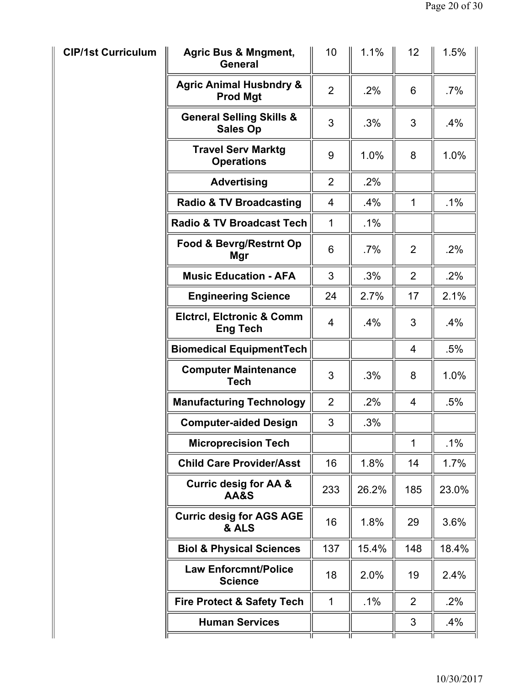| <b>CIP/1st Curriculum</b> | <b>Agric Bus &amp; Mngment,</b><br><b>General</b>       | 10             | 1.1%   | 12             | 1.5%   |
|---------------------------|---------------------------------------------------------|----------------|--------|----------------|--------|
|                           | <b>Agric Animal Husbndry &amp;</b><br><b>Prod Mgt</b>   | $\overline{2}$ | .2%    | 6              | $.7\%$ |
|                           | <b>General Selling Skills &amp;</b><br><b>Sales Op</b>  | 3              | .3%    | 3              | .4%    |
|                           | <b>Travel Serv Marktg</b><br><b>Operations</b>          | 9              | 1.0%   | 8              | 1.0%   |
|                           | <b>Advertising</b>                                      | $\overline{2}$ | .2%    |                |        |
|                           | <b>Radio &amp; TV Broadcasting</b>                      | $\overline{4}$ | $.4\%$ | $\mathbf 1$    | $.1\%$ |
|                           | <b>Radio &amp; TV Broadcast Tech</b>                    | $\mathbf{1}$   | .1%    |                |        |
|                           | Food & Bevrg/Restrnt Op<br>Mgr                          | 6              | .7%    | 2              | .2%    |
|                           | <b>Music Education - AFA</b>                            | 3              | .3%    | $\overline{2}$ | .2%    |
|                           | <b>Engineering Science</b>                              | 24             | 2.7%   | 17             | 2.1%   |
|                           | <b>Elctrcl, Elctronic &amp; Comm</b><br><b>Eng Tech</b> | 4              | $.4\%$ | 3              | $.4\%$ |
|                           | <b>Biomedical EquipmentTech</b>                         |                |        | $\overline{4}$ | .5%    |
|                           | <b>Computer Maintenance</b><br><b>Tech</b>              | 3              | .3%    | 8              | 1.0%   |
|                           | <b>Manufacturing Technology</b>                         | $\overline{2}$ | .2%    | 4              | .5%    |
|                           | <b>Computer-aided Design</b>                            | 3              | .3%    |                |        |
|                           | <b>Microprecision Tech</b>                              |                |        | 1              | .1%    |
|                           | <b>Child Care Provider/Asst</b>                         | 16             | 1.8%   | 14             | 1.7%   |
|                           | <b>Curric desig for AA &amp;</b><br><b>AA&amp;S</b>     | 233            | 26.2%  | 185            | 23.0%  |
|                           | <b>Curric desig for AGS AGE</b><br>& ALS                | 16             | 1.8%   | 29             | 3.6%   |
|                           | <b>Biol &amp; Physical Sciences</b>                     | 137            | 15.4%  | 148            | 18.4%  |
|                           | <b>Law Enforcmnt/Police</b><br><b>Science</b>           | 18             | 2.0%   | 19             | 2.4%   |
|                           | <b>Fire Protect &amp; Safety Tech</b>                   | $\mathbf{1}$   | $.1\%$ | 2              | .2%    |
|                           | <b>Human Services</b>                                   |                |        | 3              | .4%    |
|                           | זו                                                      |                |        | 11             |        |

Ш

II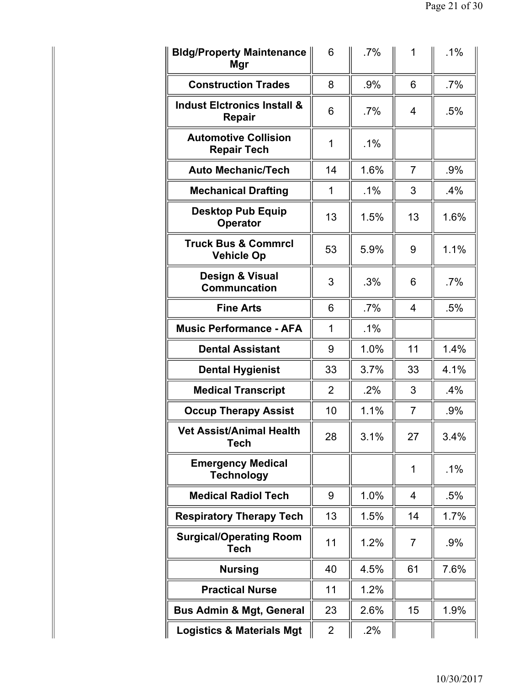| <b>Bldg/Property Maintenance</b><br>Mgr             | 6              | $.7\%$ | 1              | $.1\%$ |
|-----------------------------------------------------|----------------|--------|----------------|--------|
| <b>Construction Trades</b>                          | 8              | $.9\%$ | 6              | $.7\%$ |
| <b>Indust Elctronics Install &amp;</b><br>Repair    | 6              | .7%    | 4              | .5%    |
| <b>Automotive Collision</b><br><b>Repair Tech</b>   | 1              | $.1\%$ |                |        |
| <b>Auto Mechanic/Tech</b>                           | 14             | 1.6%   | $\overline{7}$ | .9%    |
| <b>Mechanical Drafting</b>                          | 1              | $.1\%$ | 3              | .4%    |
| <b>Desktop Pub Equip</b><br><b>Operator</b>         | 13             | 1.5%   | 13             | 1.6%   |
| <b>Truck Bus &amp; Commrcl</b><br><b>Vehicle Op</b> | 53             | 5.9%   | 9              | 1.1%   |
| Design & Visual<br><b>Communcation</b>              | 3              | .3%    | 6              | $.7\%$ |
| <b>Fine Arts</b>                                    | 6              | .7%    | 4              | .5%    |
| <b>Music Performance - AFA</b>                      | 1              | $.1\%$ |                |        |
| <b>Dental Assistant</b>                             | 9              | 1.0%   | 11             | 1.4%   |
| <b>Dental Hygienist</b>                             | 33             | 3.7%   | 33             | 4.1%   |
| <b>Medical Transcript</b>                           | $\overline{2}$ | .2%    | 3              | .4%    |
| <b>Occup Therapy Assist</b>                         | 10             | 1.1%   | 7              | .9%    |
| Vet Assist/Animal Health<br><b>Tech</b>             | 28             | 3.1%   | 27             | 3.4%   |
| <b>Emergency Medical</b><br><b>Technology</b>       |                |        | 1              | $.1\%$ |
| <b>Medical Radiol Tech</b>                          | 9              | 1.0%   | 4              | .5%    |
| <b>Respiratory Therapy Tech</b>                     | 13             | 1.5%   | 14             | 1.7%   |
| <b>Surgical/Operating Room</b><br><b>Tech</b>       | 11             | 1.2%   | $\overline{7}$ | .9%    |
| <b>Nursing</b>                                      | 40             | 4.5%   | 61             | 7.6%   |
| <b>Practical Nurse</b>                              | 11             | 1.2%   |                |        |
| <b>Bus Admin &amp; Mgt, General</b>                 | 23             | 2.6%   | 15             | 1.9%   |
| <b>Logistics &amp; Materials Mgt</b>                | $\overline{2}$ | .2%    |                |        |

II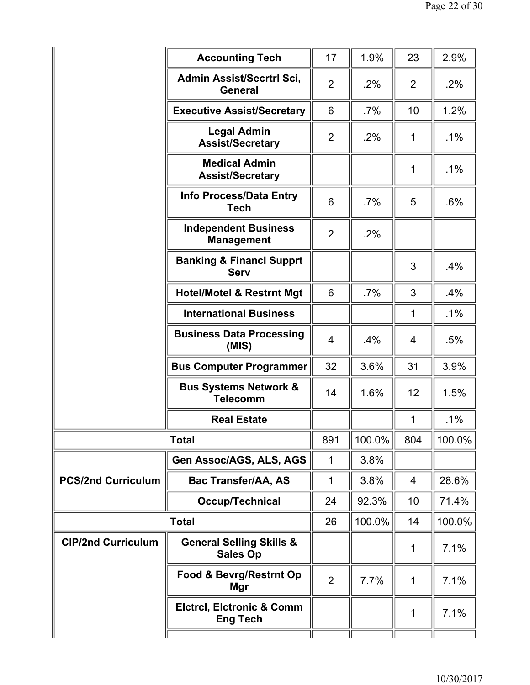|                           | <b>Accounting Tech</b>                                  | 17             | 1.9%   | 23             | 2.9%   |
|---------------------------|---------------------------------------------------------|----------------|--------|----------------|--------|
|                           | Admin Assist/Secrtrl Sci,<br><b>General</b>             | $\overline{2}$ | $.2\%$ | $\overline{2}$ | .2%    |
|                           | <b>Executive Assist/Secretary</b>                       | 6              | $.7\%$ | 10             | 1.2%   |
|                           | <b>Legal Admin</b><br><b>Assist/Secretary</b>           | $\overline{2}$ | $.2\%$ | 1              | $.1\%$ |
|                           | <b>Medical Admin</b><br><b>Assist/Secretary</b>         |                |        | 1              | $.1\%$ |
|                           | <b>Info Process/Data Entry</b><br><b>Tech</b>           | 6              | $.7\%$ | 5              | .6%    |
|                           | <b>Independent Business</b><br><b>Management</b>        | $\overline{2}$ | .2%    |                |        |
|                           | <b>Banking &amp; Financl Supprt</b><br><b>Serv</b>      |                |        | 3              | $.4\%$ |
|                           | <b>Hotel/Motel &amp; Restrnt Mgt</b>                    | 6              | $.7\%$ | 3              | .4%    |
|                           | <b>International Business</b>                           |                |        | 1              | $.1\%$ |
|                           | <b>Business Data Processing</b><br>(MIS)                | 4              | .4%    | $\overline{4}$ | .5%    |
|                           | <b>Bus Computer Programmer</b>                          | 32             | 3.6%   | 31             | 3.9%   |
|                           | <b>Bus Systems Network &amp;</b><br><b>Telecomm</b>     | 14             | 1.6%   | 12             | 1.5%   |
|                           | <b>Real Estate</b>                                      |                |        | 1              | .1%    |
|                           | <b>Total</b>                                            | 891            | 100.0% | 804            | 100.0% |
|                           | Gen Assoc/AGS, ALS, AGS                                 | 1              | 3.8%   |                |        |
| <b>PCS/2nd Curriculum</b> | <b>Bac Transfer/AA, AS</b>                              | $\mathbf{1}$   | 3.8%   | $\overline{4}$ | 28.6%  |
|                           | Occup/Technical                                         | 24             | 92.3%  | 10             | 71.4%  |
|                           | <b>Total</b>                                            | 26             | 100.0% | 14             | 100.0% |
| <b>CIP/2nd Curriculum</b> | <b>General Selling Skills &amp;</b><br><b>Sales Op</b>  |                |        | 1              | 7.1%   |
|                           | <b>Food &amp; Bevrg/Restrnt Op</b><br><b>Mgr</b>        | $\overline{2}$ | 7.7%   | 1              | 7.1%   |
|                           | <b>Elctrcl, Elctronic &amp; Comm</b><br><b>Eng Tech</b> |                |        | 1              | 7.1%   |
|                           |                                                         |                |        |                |        |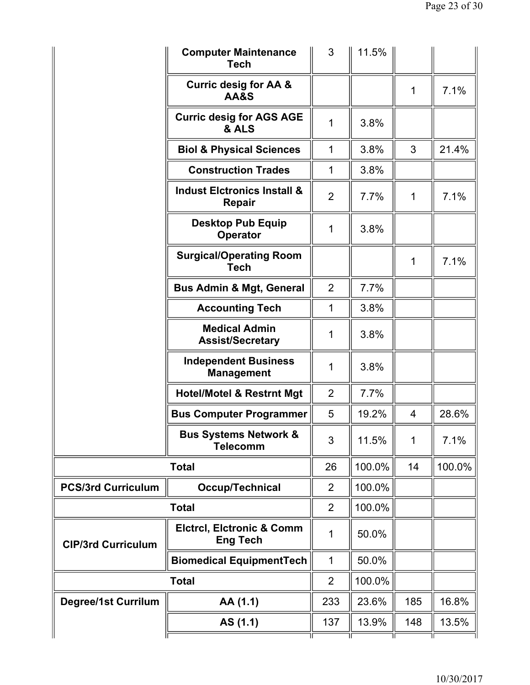|                            | <b>Computer Maintenance</b><br><b>Tech</b>              | 3              | 11.5%  |                |        |
|----------------------------|---------------------------------------------------------|----------------|--------|----------------|--------|
|                            | <b>Curric desig for AA &amp;</b><br>AA&S                |                |        | 1              | 7.1%   |
|                            | <b>Curric desig for AGS AGE</b><br>& ALS                | 1              | 3.8%   |                |        |
|                            | <b>Biol &amp; Physical Sciences</b>                     | $\mathbf{1}$   | 3.8%   | 3              | 21.4%  |
|                            | <b>Construction Trades</b>                              | 1              | 3.8%   |                |        |
|                            | <b>Indust Elctronics Install &amp;</b><br>Repair        | $\overline{2}$ | 7.7%   | 1              | 7.1%   |
|                            | <b>Desktop Pub Equip</b><br><b>Operator</b>             | 1              | 3.8%   |                |        |
|                            | <b>Surgical/Operating Room</b><br><b>Tech</b>           |                |        | 1              | 7.1%   |
|                            | <b>Bus Admin &amp; Mgt, General</b>                     | $\overline{2}$ | 7.7%   |                |        |
|                            | <b>Accounting Tech</b>                                  | 1              | 3.8%   |                |        |
|                            | <b>Medical Admin</b><br><b>Assist/Secretary</b>         | 1              | 3.8%   |                |        |
|                            | <b>Independent Business</b><br><b>Management</b>        | 1              | 3.8%   |                |        |
|                            | <b>Hotel/Motel &amp; Restrnt Mgt</b>                    | 2              | 7.7%   |                |        |
|                            | <b>Bus Computer Programmer</b>                          | 5              | 19.2%  | $\overline{4}$ | 28.6%  |
|                            | <b>Bus Systems Network &amp;</b><br><b>Telecomm</b>     | 3              | 11.5%  | 1              | 7.1%   |
|                            | <b>Total</b>                                            | 26             | 100.0% | 14             | 100.0% |
| <b>PCS/3rd Curriculum</b>  | <b>Occup/Technical</b>                                  | $\overline{2}$ | 100.0% |                |        |
|                            | <b>Total</b>                                            | $\overline{2}$ | 100.0% |                |        |
| <b>CIP/3rd Curriculum</b>  | <b>Elctrcl, Elctronic &amp; Comm</b><br><b>Eng Tech</b> | 1              | 50.0%  |                |        |
|                            | <b>Biomedical EquipmentTech</b>                         | 1              | 50.0%  |                |        |
|                            | <b>Total</b>                                            | $\overline{2}$ | 100.0% |                |        |
| <b>Degree/1st Currilum</b> | AA (1.1)                                                | 233            | 23.6%  | 185            | 16.8%  |
|                            | AS (1.1)                                                | 137            | 13.9%  | 148            | 13.5%  |
|                            |                                                         |                |        |                |        |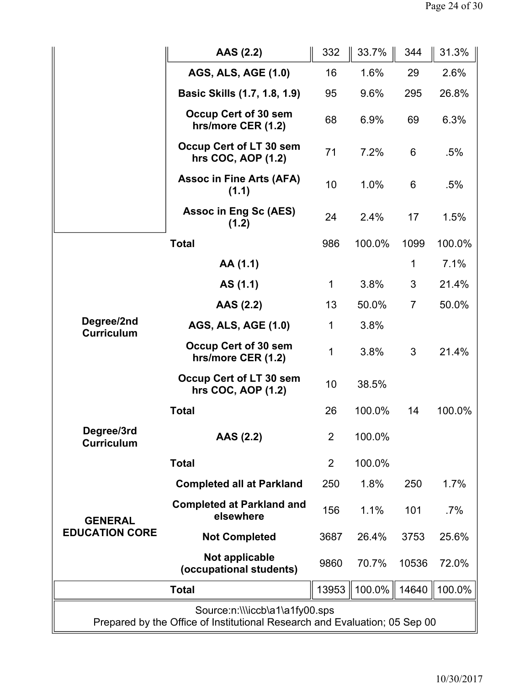|                                                                                                              | AAS (2.2)                                     | 332            | 33.7%  | 344            | 31.3%  |
|--------------------------------------------------------------------------------------------------------------|-----------------------------------------------|----------------|--------|----------------|--------|
|                                                                                                              | <b>AGS, ALS, AGE (1.0)</b>                    | 16             | 1.6%   | 29             | 2.6%   |
|                                                                                                              | Basic Skills (1.7, 1.8, 1.9)                  | 95             | 9.6%   | 295            | 26.8%  |
|                                                                                                              | Occup Cert of 30 sem<br>hrs/more CER (1.2)    | 68             | 6.9%   | 69             | 6.3%   |
|                                                                                                              | Occup Cert of LT 30 sem<br>hrs COC, AOP (1.2) | 71             | 7.2%   | 6              | .5%    |
|                                                                                                              | <b>Assoc in Fine Arts (AFA)</b><br>(1.1)      | 10             | 1.0%   | 6              | .5%    |
|                                                                                                              | <b>Assoc in Eng Sc (AES)</b><br>(1.2)         | 24             | 2.4%   | 17             | 1.5%   |
|                                                                                                              | <b>Total</b>                                  | 986            | 100.0% | 1099           | 100.0% |
|                                                                                                              | AA (1.1)                                      |                |        | 1              | 7.1%   |
|                                                                                                              | AS (1.1)                                      | 1              | 3.8%   | 3              | 21.4%  |
| Degree/2nd<br><b>Curriculum</b>                                                                              | AAS (2.2)                                     | 13             | 50.0%  | $\overline{7}$ | 50.0%  |
|                                                                                                              | <b>AGS, ALS, AGE (1.0)</b>                    | 1              | 3.8%   |                |        |
|                                                                                                              | Occup Cert of 30 sem<br>hrs/more CER (1.2)    | 1              | 3.8%   | 3              | 21.4%  |
|                                                                                                              | Occup Cert of LT 30 sem<br>hrs COC, AOP (1.2) | 10             | 38.5%  |                |        |
|                                                                                                              | <b>Total</b>                                  | 26             | 100.0% | 14             | 100.0% |
| Degree/3rd<br><b>Curriculum</b>                                                                              | AAS (2.2)                                     | 2 <sup>1</sup> | 100.0% |                |        |
|                                                                                                              | <b>Total</b>                                  | $\overline{2}$ | 100.0% |                |        |
|                                                                                                              | <b>Completed all at Parkland</b>              | 250            | 1.8%   | 250            | 1.7%   |
| <b>GENERAL</b>                                                                                               | <b>Completed at Parkland and</b><br>elsewhere | 156            | 1.1%   | 101            | $.7\%$ |
| <b>EDUCATION CORE</b>                                                                                        | <b>Not Completed</b>                          | 3687           | 26.4%  | 3753           | 25.6%  |
|                                                                                                              | Not applicable<br>(occupational students)     | 9860           | 70.7%  | 10536          | 72.0%  |
| <b>Total</b>                                                                                                 |                                               |                | 100.0% | 14640          | 100.0% |
| Source:n:\\\iccb\a1\a1fy00.sps<br>Prepared by the Office of Institutional Research and Evaluation; 05 Sep 00 |                                               |                |        |                |        |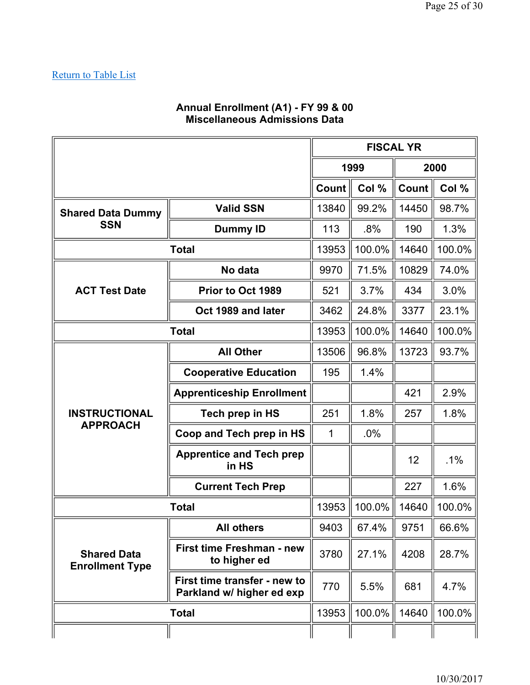#### **Annual Enrollment (A1) - FY 99 & 00 Miscellaneous Admissions Data**

|                                              |                                                           | <b>FISCAL YR</b> |        |       |        |
|----------------------------------------------|-----------------------------------------------------------|------------------|--------|-------|--------|
|                                              |                                                           | 1999<br>2000     |        |       |        |
|                                              |                                                           | Count            | Col %  | Count | Col %  |
| <b>Shared Data Dummy</b>                     | <b>Valid SSN</b>                                          | 13840            | 99.2%  | 14450 | 98.7%  |
| <b>SSN</b>                                   | <b>Dummy ID</b>                                           | 113              | .8%    | 190   | 1.3%   |
|                                              | <b>Total</b>                                              | 13953            | 100.0% | 14640 | 100.0% |
|                                              | No data                                                   | 9970             | 71.5%  | 10829 | 74.0%  |
| <b>ACT Test Date</b>                         | Prior to Oct 1989                                         | 521              | 3.7%   | 434   | 3.0%   |
|                                              | Oct 1989 and later                                        | 3462             | 24.8%  | 3377  | 23.1%  |
|                                              | <b>Total</b>                                              | 13953            | 100.0% | 14640 | 100.0% |
|                                              | <b>All Other</b>                                          | 13506            | 96.8%  | 13723 | 93.7%  |
|                                              | <b>Cooperative Education</b>                              | 195              | 1.4%   |       |        |
|                                              | <b>Apprenticeship Enrollment</b>                          |                  |        | 421   | 2.9%   |
| <b>INSTRUCTIONAL</b>                         | Tech prep in HS                                           | 251              | 1.8%   | 257   | 1.8%   |
| <b>APPROACH</b>                              | Coop and Tech prep in HS                                  | 1                | .0%    |       |        |
|                                              | <b>Apprentice and Tech prep</b><br>in HS                  |                  |        | 12    | $.1\%$ |
|                                              | <b>Current Tech Prep</b>                                  |                  |        | 227   | 1.6%   |
|                                              | <b>Total</b>                                              | 13953            | 100.0% | 14640 | 100.0% |
|                                              | <b>All others</b>                                         | 9403             | 67.4%  | 9751  | 66.6%  |
| <b>Shared Data</b><br><b>Enrollment Type</b> | First time Freshman - new<br>to higher ed                 | 3780             | 27.1%  | 4208  | 28.7%  |
|                                              | First time transfer - new to<br>Parkland w/ higher ed exp | 770              | 5.5%   | 681   | 4.7%   |
|                                              | <b>Total</b>                                              | 13953            | 100.0% | 14640 | 100.0% |
|                                              |                                                           |                  |        |       |        |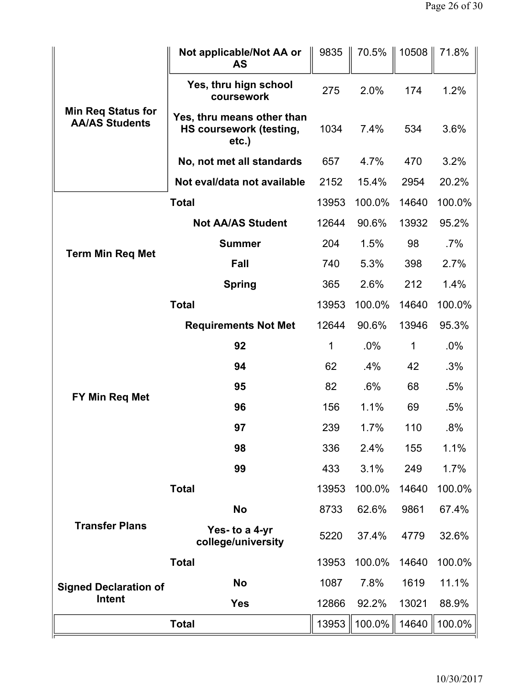|                                                    | Not applicable/Not AA or<br><b>AS</b>                                    | 9835  | 70.5%  | 10508 | 71.8%  |
|----------------------------------------------------|--------------------------------------------------------------------------|-------|--------|-------|--------|
| <b>Min Req Status for</b><br><b>AA/AS Students</b> | Yes, thru hign school<br>coursework                                      | 275   | 2.0%   | 174   | 1.2%   |
|                                                    | Yes, thru means other than<br><b>HS coursework (testing,</b><br>$etc.$ ) | 1034  | 7.4%   | 534   | 3.6%   |
|                                                    | No, not met all standards                                                | 657   | 4.7%   | 470   | 3.2%   |
|                                                    | Not eval/data not available                                              | 2152  | 15.4%  | 2954  | 20.2%  |
|                                                    | <b>Total</b>                                                             | 13953 | 100.0% | 14640 | 100.0% |
|                                                    | <b>Not AA/AS Student</b>                                                 | 12644 | 90.6%  | 13932 | 95.2%  |
| <b>Term Min Req Met</b>                            | <b>Summer</b>                                                            | 204   | 1.5%   | 98    | $.7\%$ |
|                                                    | Fall                                                                     | 740   | 5.3%   | 398   | 2.7%   |
|                                                    | <b>Spring</b>                                                            | 365   | 2.6%   | 212   | 1.4%   |
|                                                    | <b>Total</b>                                                             | 13953 | 100.0% | 14640 | 100.0% |
|                                                    | <b>Requirements Not Met</b>                                              | 12644 | 90.6%  | 13946 | 95.3%  |
|                                                    | 92                                                                       | 1     | $.0\%$ | 1     | $.0\%$ |
|                                                    | 94                                                                       | 62    | $.4\%$ | 42    | .3%    |
| FY Min Req Met                                     | 95                                                                       | 82    | $.6\%$ | 68    | .5%    |
|                                                    | 96                                                                       | 156   | 1.1%   | 69    | .5%    |
|                                                    | 97                                                                       | 239   | 1.7%   | 110   | .8%    |
|                                                    | 98                                                                       | 336   | 2.4%   | 155   | 1.1%   |
|                                                    | 99                                                                       | 433   | 3.1%   | 249   | 1.7%   |
|                                                    | <b>Total</b>                                                             | 13953 | 100.0% | 14640 | 100.0% |
|                                                    | <b>No</b>                                                                | 8733  | 62.6%  | 9861  | 67.4%  |
| <b>Transfer Plans</b>                              | Yes- to a 4-yr<br>college/university                                     | 5220  | 37.4%  | 4779  | 32.6%  |
|                                                    | <b>Total</b>                                                             | 13953 | 100.0% | 14640 | 100.0% |
| <b>Signed Declaration of</b>                       | <b>No</b>                                                                | 1087  | 7.8%   | 1619  | 11.1%  |
| Intent                                             | <b>Yes</b>                                                               | 12866 | 92.2%  | 13021 | 88.9%  |
|                                                    | <b>Total</b>                                                             | 13953 | 100.0% | 14640 | 100.0% |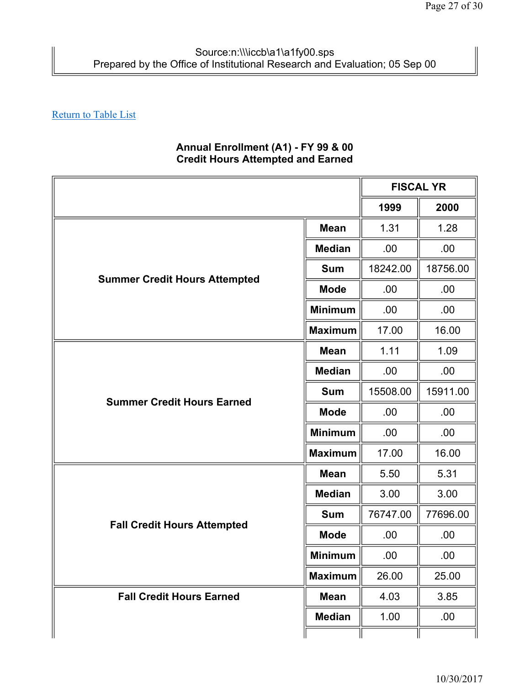## **Annual Enrollment (A1) - FY 99 & 00 Credit Hours Attempted and Earned**

|                                      |                | <b>FISCAL YR</b> |          |
|--------------------------------------|----------------|------------------|----------|
|                                      |                | 1999             | 2000     |
| <b>Mean</b>                          |                | 1.31             | 1.28     |
|                                      | <b>Median</b>  | .00              | .00      |
|                                      | <b>Sum</b>     | 18242.00         | 18756.00 |
| <b>Summer Credit Hours Attempted</b> | <b>Mode</b>    | .00.             | .00      |
|                                      | <b>Minimum</b> | .00              | .00      |
|                                      | <b>Maximum</b> | 17.00            | 16.00    |
| <b>Mean</b>                          |                | 1.11             | 1.09     |
| <b>Summer Credit Hours Earned</b>    | <b>Median</b>  | .00              | .00.     |
|                                      | <b>Sum</b>     | 15508.00         | 15911.00 |
|                                      | <b>Mode</b>    | .00              | .00      |
|                                      | <b>Minimum</b> | .00              | .00      |
|                                      | <b>Maximum</b> | 17.00            | 16.00    |
|                                      | <b>Mean</b>    | 5.50             | 5.31     |
|                                      | <b>Median</b>  | 3.00             | 3.00     |
| <b>Fall Credit Hours Attempted</b>   | <b>Sum</b>     | 76747.00         | 77696.00 |
|                                      | <b>Mode</b>    | .00              | .00      |
|                                      | <b>Minimum</b> | .00              | .00      |
| <b>Maximum</b>                       |                | 26.00            | 25.00    |
| <b>Fall Credit Hours Earned</b>      | <b>Mean</b>    | 4.03             | 3.85     |
|                                      | <b>Median</b>  | 1.00             | .00      |
|                                      |                |                  |          |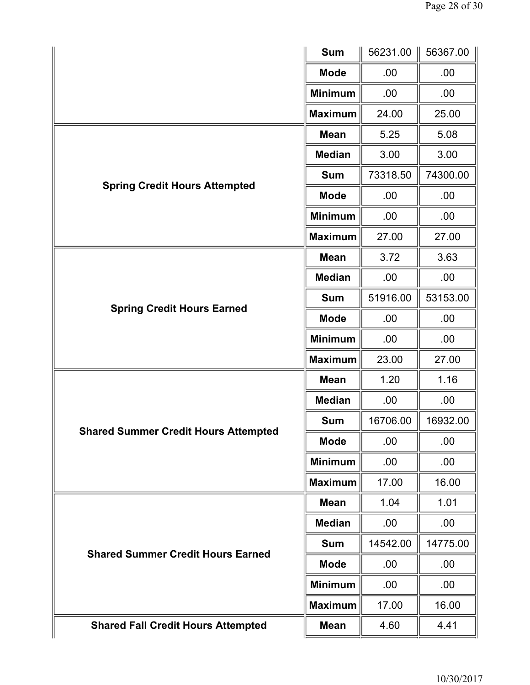|                                             | <b>Sum</b>     | 56231.00 | 56367.00 |
|---------------------------------------------|----------------|----------|----------|
|                                             | <b>Mode</b>    | .00      | .00      |
|                                             | <b>Minimum</b> | .00      | .00      |
|                                             | <b>Maximum</b> | 24.00    | 25.00    |
|                                             | <b>Mean</b>    | 5.25     | 5.08     |
|                                             | <b>Median</b>  | 3.00     | 3.00     |
|                                             | <b>Sum</b>     | 73318.50 | 74300.00 |
| <b>Spring Credit Hours Attempted</b>        | <b>Mode</b>    | .00      | .00      |
|                                             | <b>Minimum</b> | .00      | .00      |
|                                             | <b>Maximum</b> | 27.00    | 27.00    |
|                                             | <b>Mean</b>    | 3.72     | 3.63     |
|                                             | <b>Median</b>  | .00      | .00      |
| <b>Spring Credit Hours Earned</b>           | <b>Sum</b>     | 51916.00 | 53153.00 |
|                                             | <b>Mode</b>    | .00      | .00      |
|                                             | <b>Minimum</b> | .00      | .00      |
|                                             | <b>Maximum</b> | 23.00    | 27.00    |
|                                             | <b>Mean</b>    | 1.20     | 1.16     |
|                                             | <b>Median</b>  | .00      | .00      |
| <b>Shared Summer Credit Hours Attempted</b> | <b>Sum</b>     | 16706.00 | 16932.00 |
|                                             | <b>Mode</b>    | .00      | .00      |
|                                             | <b>Minimum</b> | .00      | .00      |
|                                             | <b>Maximum</b> | 17.00    | 16.00    |
|                                             | <b>Mean</b>    | 1.04     | 1.01     |
|                                             | <b>Median</b>  | .00      | .00.     |
| <b>Shared Summer Credit Hours Earned</b>    | <b>Sum</b>     | 14542.00 | 14775.00 |
|                                             | <b>Mode</b>    | .00      | .00      |
|                                             | <b>Minimum</b> | .00      | .00.     |
|                                             | <b>Maximum</b> | 17.00    | 16.00    |
| <b>Shared Fall Credit Hours Attempted</b>   | <b>Mean</b>    | 4.60     | 4.41     |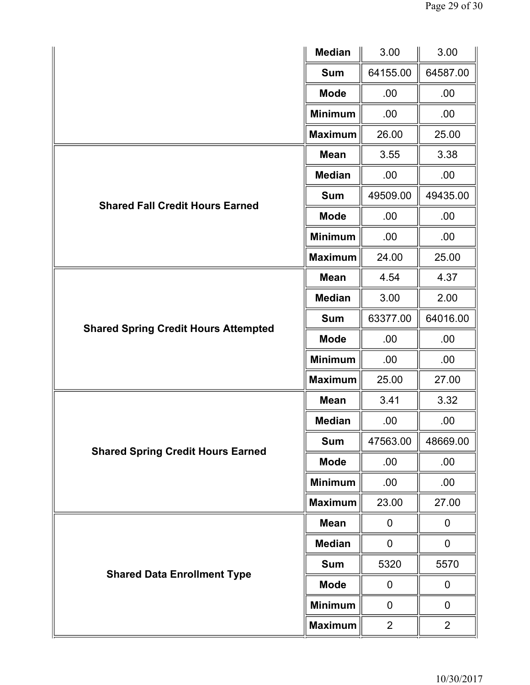|                                             | <b>Median</b>  | 3.00           | 3.00           |
|---------------------------------------------|----------------|----------------|----------------|
|                                             | <b>Sum</b>     | 64155.00       | 64587.00       |
|                                             | <b>Mode</b>    | .00            | .00            |
|                                             | <b>Minimum</b> | .00            | .00            |
|                                             | <b>Maximum</b> | 26.00          | 25.00          |
|                                             | <b>Mean</b>    | 3.55           | 3.38           |
|                                             | <b>Median</b>  | .00            | .00            |
| <b>Shared Fall Credit Hours Earned</b>      | <b>Sum</b>     | 49509.00       | 49435.00       |
|                                             | <b>Mode</b>    | .00            | .00            |
|                                             | <b>Minimum</b> | .00            | .00            |
|                                             | <b>Maximum</b> | 24.00          | 25.00          |
|                                             | <b>Mean</b>    | 4.54           | 4.37           |
|                                             | <b>Median</b>  | 3.00           | 2.00           |
|                                             | <b>Sum</b>     | 63377.00       | 64016.00       |
| <b>Shared Spring Credit Hours Attempted</b> | <b>Mode</b>    | .00.           | .00            |
|                                             | <b>Minimum</b> | .00.           | .00            |
|                                             | <b>Maximum</b> | 25.00          | 27.00          |
|                                             | <b>Mean</b>    | 3.41           | 3.32           |
|                                             | <b>Median</b>  | .00            | .00            |
| <b>Shared Spring Credit Hours Earned</b>    | <b>Sum</b>     | 47563.00       | 48669.00       |
|                                             | <b>Mode</b>    | .00            | .00            |
|                                             | <b>Minimum</b> | .00            | .00            |
|                                             | <b>Maximum</b> | 23.00          | 27.00          |
|                                             | <b>Mean</b>    | $\pmb{0}$      | 0              |
|                                             | <b>Median</b>  | $\pmb{0}$      | $\mathbf 0$    |
|                                             | <b>Sum</b>     | 5320           | 5570           |
| <b>Shared Data Enrollment Type</b>          | <b>Mode</b>    | 0              | $\mathbf 0$    |
|                                             | <b>Minimum</b> | $\mathbf 0$    | $\pmb{0}$      |
|                                             | <b>Maximum</b> | $\overline{2}$ | $\overline{2}$ |